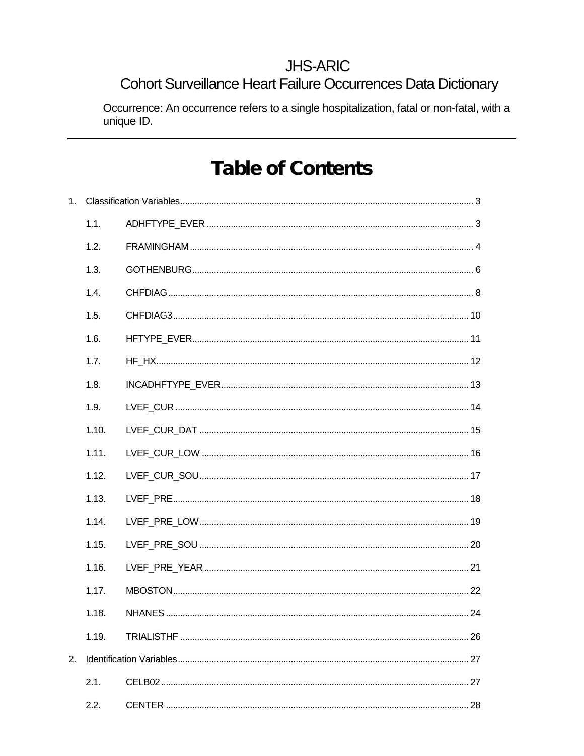# **JHS-ARIC**

# Cohort Surveillance Heart Failure Occurrences Data Dictionary

Occurrence: An occurrence refers to a single hospitalization, fatal or non-fatal, with a unique ID.

# **Table of Contents**

| 1. |       |  |  |
|----|-------|--|--|
|    | 1.1.  |  |  |
|    | 1.2.  |  |  |
|    | 1.3.  |  |  |
|    | 1.4.  |  |  |
|    | 1.5.  |  |  |
|    | 1.6.  |  |  |
|    | 1.7.  |  |  |
|    | 1.8.  |  |  |
|    | 1.9.  |  |  |
|    | 1.10. |  |  |
|    | 1.11. |  |  |
|    | 1.12. |  |  |
|    | 1.13. |  |  |
|    | 1.14. |  |  |
|    | 1.15. |  |  |
|    | 1.16. |  |  |
|    | 1.17. |  |  |
|    | 1.18. |  |  |
|    | 1.19. |  |  |
| 2. |       |  |  |
|    | 2.1.  |  |  |
|    | 2.2.  |  |  |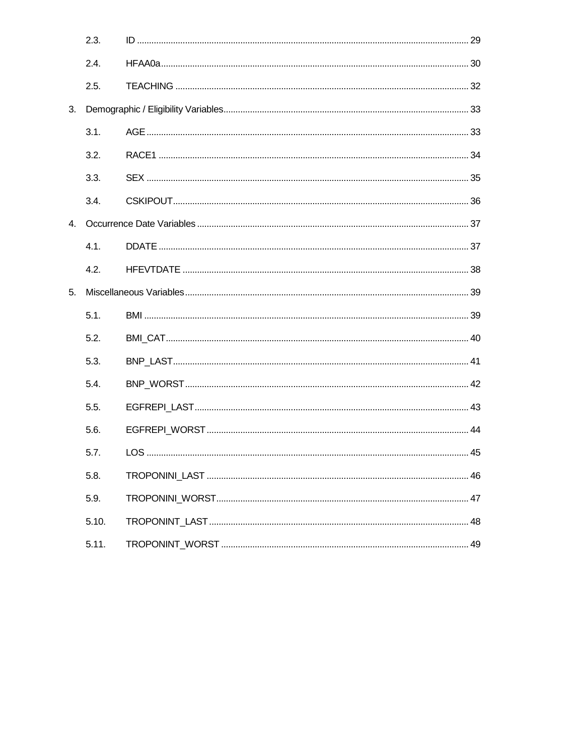|    | 2.3.  |  |
|----|-------|--|
|    | 2.4.  |  |
|    | 2.5.  |  |
| 3. |       |  |
|    | 3.1.  |  |
|    | 3.2.  |  |
|    | 3.3.  |  |
|    | 3.4.  |  |
| 4. |       |  |
|    | 4.1.  |  |
|    | 4.2.  |  |
| 5. |       |  |
|    | 5.1.  |  |
|    | 5.2.  |  |
|    | 5.3.  |  |
|    | 5.4.  |  |
|    | 5.5.  |  |
|    | 5.6.  |  |
|    | 5.7.  |  |
|    | 5.8.  |  |
|    | 5.9.  |  |
|    | 5.10. |  |
|    | 5.11. |  |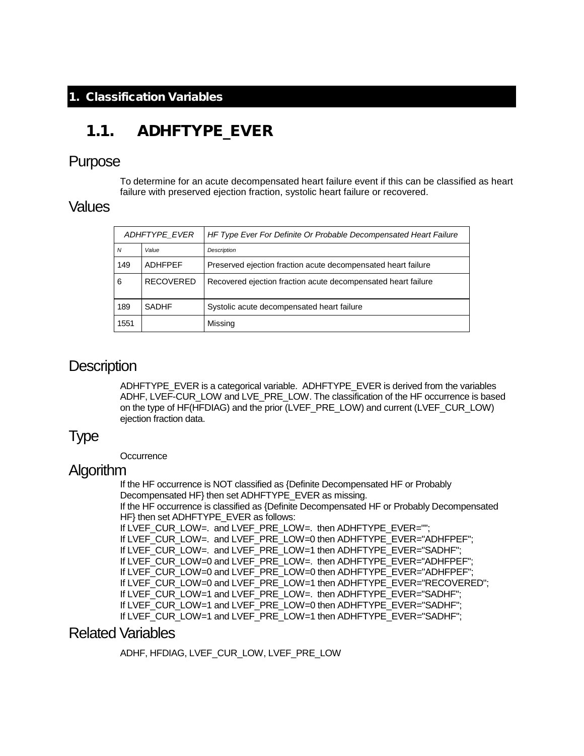#### <span id="page-2-0"></span>1. Classification Variables

## <span id="page-2-1"></span>1.1. ADHFTYPE EVER

#### Purpose

To determine for an acute decompensated heart failure event if this can be classified as heart failure with preserved ejection fraction, systolic heart failure or recovered.

#### Values

| ADHFTYPE EVER           |                  | HF Type Ever For Definite Or Probable Decompensated Heart Failure |
|-------------------------|------------------|-------------------------------------------------------------------|
| $\overline{N}$<br>Value |                  | Description                                                       |
| 149                     | <b>ADHEPFF</b>   | Preserved ejection fraction acute decompensated heart failure     |
| 6                       | <b>RECOVERED</b> | Recovered ejection fraction acute decompensated heart failure     |
| 189                     | <b>SADHF</b>     | Systolic acute decompensated heart failure                        |
| 1551                    |                  | Missing                                                           |

#### **Description**

ADHFTYPE\_EVER is a categorical variable. ADHFTYPE\_EVER is derived from the variables ADHF, LVEF-CUR\_LOW and LVE\_PRE\_LOW. The classification of the HF occurrence is based on the type of HF(HFDIAG) and the prior (LVEF\_PRE\_LOW) and current (LVEF\_CUR\_LOW) ejection fraction data.

### Type

**Occurrence** 

#### **Algorithm**

If the HF occurrence is NOT classified as {Definite Decompensated HF or Probably Decompensated HF} then set ADHFTYPE\_EVER as missing. If the HF occurrence is classified as {Definite Decompensated HF or Probably Decompensated HF} then set ADHFTYPE\_EVER as follows: If LVEF\_CUR\_LOW=. and LVEF\_PRE\_LOW=. then ADHFTYPE\_EVER=""; If LVEF\_CUR\_LOW=. and LVEF\_PRE\_LOW=0 then ADHFTYPE\_EVER="ADHFPEF"; If LVEF\_CUR\_LOW=. and LVEF\_PRE\_LOW=1 then ADHFTYPE\_EVER="SADHF"; If LVEF\_CUR\_LOW=0 and LVEF\_PRE\_LOW=. then ADHFTYPE\_EVER="ADHFPEF"; If LVEF\_CUR\_LOW=0 and LVEF\_PRE\_LOW=0 then ADHFTYPE\_EVER="ADHFPEF"; If LVEF\_CUR\_LOW=0 and LVEF\_PRE\_LOW=1 then ADHFTYPE\_EVER="RECOVERED"; If LVEF\_CUR\_LOW=1 and LVEF\_PRE\_LOW=. then ADHFTYPE\_EVER="SADHF"; If LVEF\_CUR\_LOW=1 and LVEF\_PRE\_LOW=0 then ADHFTYPE\_EVER="SADHF"; If LVEF\_CUR\_LOW=1 and LVEF\_PRE\_LOW=1 then ADHFTYPE\_EVER="SADHF";

#### Related Variables

ADHF, HFDIAG, LVEF\_CUR\_LOW, LVEF\_PRE\_LOW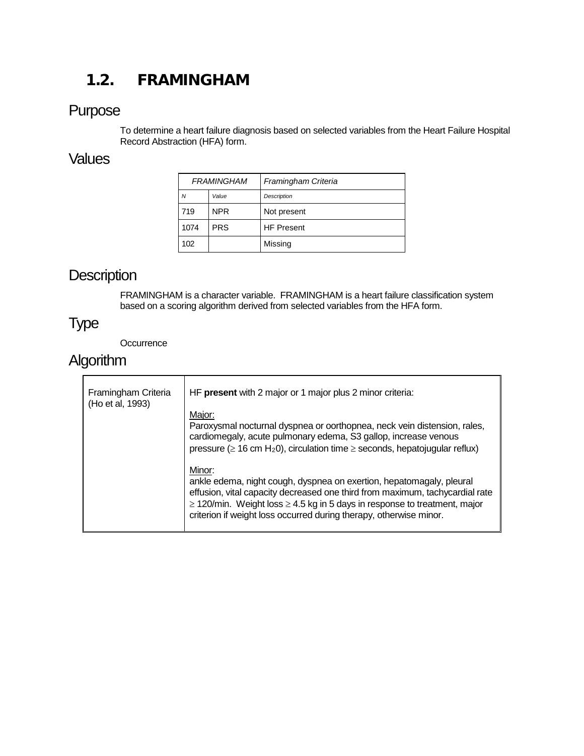# <span id="page-3-0"></span>1.2. FRAMINGHAM

### Purpose

To determine a heart failure diagnosis based on selected variables from the Heart Failure Hospital Record Abstraction (HFA) form.

#### **Values**

| <b>FRAMINGHAM</b> |            | Framingham Criteria |
|-------------------|------------|---------------------|
| N                 | Value      | Description         |
| 719               | <b>NPR</b> | Not present         |
| 1074              | <b>PRS</b> | <b>HF Present</b>   |
| 102               |            | Missing             |

# **Description**

FRAMINGHAM is a character variable. FRAMINGHAM is a heart failure classification system based on a scoring algorithm derived from selected variables from the HFA form.

## Type

**Occurrence** 

# Algorithm

| Framingham Criteria<br>(Ho et al, 1993) | HF present with 2 major or 1 major plus 2 minor criteria:                                                                                                                                                                                                                                                                   |
|-----------------------------------------|-----------------------------------------------------------------------------------------------------------------------------------------------------------------------------------------------------------------------------------------------------------------------------------------------------------------------------|
|                                         | Major:<br>Paroxysmal nocturnal dyspnea or oorthopnea, neck vein distension, rales,<br>cardiomegaly, acute pulmonary edema, S3 gallop, increase venous<br>pressure ( $\geq 16$ cm H <sub>2</sub> 0), circulation time $\geq$ seconds, hepatojugular reflux)                                                                  |
|                                         | Minor:<br>ankle edema, night cough, dyspnea on exertion, hepatomagaly, pleural<br>effusion, vital capacity decreased one third from maximum, tachycardial rate<br>$\geq$ 120/min. Weight loss $\geq$ 4.5 kg in 5 days in response to treatment, major<br>criterion if weight loss occurred during therapy, otherwise minor. |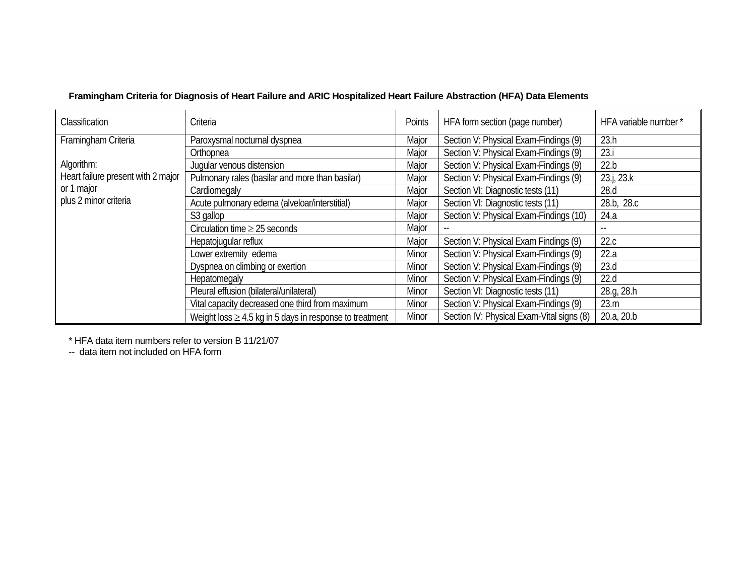| Classification                     | Criteria                                                     | Points | HFA form section (page number)            | HFA variable number * |
|------------------------------------|--------------------------------------------------------------|--------|-------------------------------------------|-----------------------|
| Framingham Criteria                | Paroxysmal nocturnal dyspnea                                 | Major  | Section V: Physical Exam-Findings (9)     | 23.h                  |
|                                    | Orthopnea                                                    | Major  | Section V: Physical Exam-Findings (9)     | 23.i                  |
| Algorithm:                         | Jugular venous distension                                    | Major  | Section V: Physical Exam-Findings (9)     | 22.b                  |
| Heart failure present with 2 major | Pulmonary rales (basilar and more than basilar)              | Major  | Section V: Physical Exam-Findings (9)     | 23.j, 23.k            |
| or 1 major                         | Cardiomegaly                                                 | Major  | Section VI: Diagnostic tests (11)         | 28.d                  |
| plus 2 minor criteria              | Acute pulmonary edema (alveloar/interstitial)                | Major  | Section VI: Diagnostic tests (11)         | 28.b, 28.c            |
|                                    | S3 gallop                                                    | Major  | Section V: Physical Exam-Findings (10)    | 24.a                  |
|                                    | Circulation time $\geq$ 25 seconds                           | Major  |                                           |                       |
|                                    | Hepatojugular reflux                                         | Major  | Section V: Physical Exam Findings (9)     | 22.c                  |
|                                    | Lower extremity edema                                        | Minor  | Section V: Physical Exam-Findings (9)     | 22.a                  |
|                                    | Dyspnea on climbing or exertion                              | Minor  | Section V: Physical Exam-Findings (9)     | 23.d                  |
|                                    | Hepatomegaly                                                 | Minor  | Section V: Physical Exam-Findings (9)     | 22.d                  |
|                                    | Pleural effusion (bilateral/unilateral)                      | Minor  | Section VI: Diagnostic tests (11)         | 28.g, 28.h            |
|                                    | Vital capacity decreased one third from maximum              | Minor  | Section V: Physical Exam-Findings (9)     | 23.m                  |
|                                    | Weight loss $\geq$ 4.5 kg in 5 days in response to treatment | Minor  | Section IV: Physical Exam-Vital signs (8) | 20.a, 20.b            |

#### **Framingham Criteria for Diagnosis of Heart Failure and ARIC Hospitalized Heart Failure Abstraction (HFA) Data Elements**

\* HFA data item numbers refer to version B 11/21/07

-- data item not included on HFA form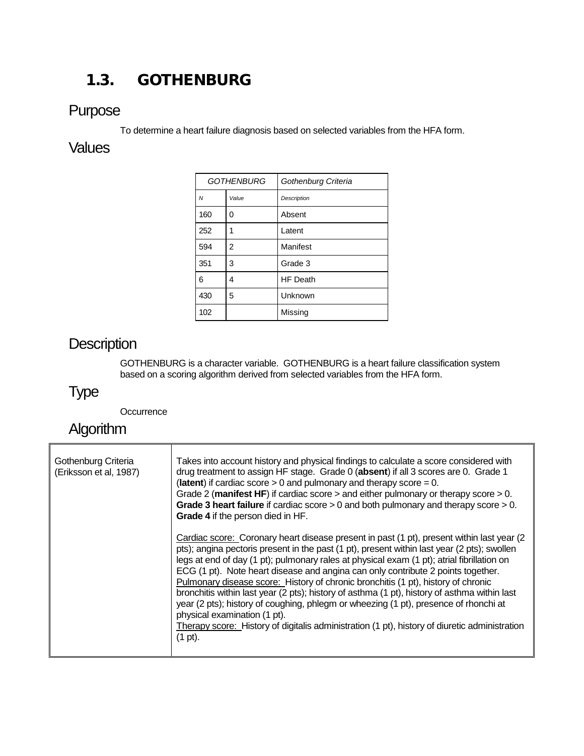# <span id="page-5-0"></span>1.3. GOTHENBURG

### Purpose

To determine a heart failure diagnosis based on selected variables from the HFA form.

## **Values**

| <b>GOTHENBURG</b> |       | Gothenburg Criteria |
|-------------------|-------|---------------------|
| $\overline{M}$    | Value | <b>Description</b>  |
| 160               | 0     | Absent              |
| 252               | 1     | Latent              |
| 594               | 2     | Manifest            |
| 351               | 3     | Grade 3             |
| 6                 | 4     | <b>HF Death</b>     |
| 430               | 5     | Unknown             |
| 102               |       | Missing             |

# **Description**

GOTHENBURG is a character variable. GOTHENBURG is a heart failure classification system based on a scoring algorithm derived from selected variables from the HFA form.

# Type

**Occurrence** 

# Algorithm

| Gothenburg Criteria<br>(Eriksson et al, 1987) | Takes into account history and physical findings to calculate a score considered with<br>drug treatment to assign HF stage. Grade 0 (absent) if all 3 scores are 0. Grade 1<br>(latent) if cardiac score $> 0$ and pulmonary and therapy score = 0.<br>Grade 2 (manifest HF) if cardiac score $>$ and either pulmonary or therapy score $> 0$ .<br>Grade 3 heart failure if cardiac score $> 0$ and both pulmonary and therapy score $> 0$ .<br>Grade 4 if the person died in HF.                                                                                                                                                                                                                                                                                                                   |
|-----------------------------------------------|-----------------------------------------------------------------------------------------------------------------------------------------------------------------------------------------------------------------------------------------------------------------------------------------------------------------------------------------------------------------------------------------------------------------------------------------------------------------------------------------------------------------------------------------------------------------------------------------------------------------------------------------------------------------------------------------------------------------------------------------------------------------------------------------------------|
|                                               | Cardiac score: Coronary heart disease present in past (1 pt), present within last year (2<br>pts); angina pectoris present in the past (1 pt), present within last year (2 pts); swollen<br>legs at end of day (1 pt); pulmonary rales at physical exam (1 pt); atrial fibrillation on<br>ECG (1 pt). Note heart disease and angina can only contribute 2 points together.<br>Pulmonary disease score: History of chronic bronchitis (1 pt), history of chronic<br>bronchitis within last year (2 pts); history of asthma (1 pt), history of asthma within last<br>year (2 pts); history of coughing, phlegm or wheezing (1 pt), presence of rhonchi at<br>physical examination (1 pt).<br>Therapy score: History of digitalis administration (1 pt), history of diuretic administration<br>(1 pt). |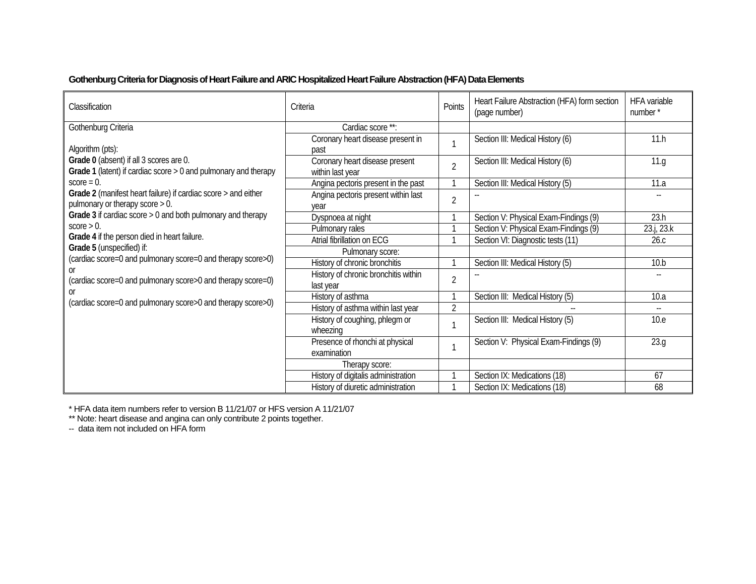#### **Gothenburg Criteria for Diagnosis of Heart Failure and ARIC Hospitalized Heart Failure Abstraction (HFA) Data Elements**

| Classification                                                                                               | Criteria                                           | Points         | Heart Failure Abstraction (HFA) form section<br>(page number) | <b>HFA</b> variable<br>number* |
|--------------------------------------------------------------------------------------------------------------|----------------------------------------------------|----------------|---------------------------------------------------------------|--------------------------------|
| Gothenburg Criteria                                                                                          | Cardiac score **:                                  |                |                                                               |                                |
| Algorithm (pts):                                                                                             | Coronary heart disease present in<br>past          | $\mathbf{A}$   | Section III: Medical History (6)                              | 11.h                           |
| Grade 0 (absent) if all 3 scores are 0.<br>Grade 1 (latent) if cardiac score $> 0$ and pulmonary and therapy | Coronary heart disease present<br>within last year | $\overline{2}$ | Section III: Medical History (6)                              | 11.g                           |
| $score = 0$ .                                                                                                | Angina pectoris present in the past                |                | Section III: Medical History (5)                              | 11.a                           |
| Grade 2 (manifest heart failure) if cardiac score > and either<br>pulmonary or therapy score $> 0$ .         | Angina pectoris present within last<br>vear        | $\overline{2}$ |                                                               |                                |
| Grade 3 if cardiac score > 0 and both pulmonary and therapy                                                  | Dyspnoea at night                                  |                | Section V: Physical Exam-Findings (9)                         | 23.h                           |
| $score > 0$ .                                                                                                | Pulmonary rales                                    |                | Section V: Physical Exam-Findings (9)                         | 23.j, 23.k                     |
| Grade 4 if the person died in heart failure.                                                                 | Atrial fibrillation on ECG                         |                | Section VI: Diagnostic tests (11)                             | 26.c                           |
| Grade 5 (unspecified) if:                                                                                    | Pulmonary score:                                   |                |                                                               |                                |
| (cardiac score=0 and pulmonary score=0 and therapy score>0)                                                  | History of chronic bronchitis                      | $\mathbf{1}$   | Section III: Medical History (5)                              | 10.b                           |
| (cardiac score=0 and pulmonary score>0 and therapy score=0)                                                  | History of chronic bronchitis within<br>last year  | $\overline{2}$ |                                                               |                                |
| 0ľ<br>(cardiac score=0 and pulmonary score>0 and therapy score>0)                                            | History of asthma                                  |                | Section III: Medical History (5)                              | 10.a                           |
|                                                                                                              | History of asthma within last year                 | $\overline{2}$ |                                                               |                                |
|                                                                                                              | History of coughing, phlegm or<br>wheezing         |                | Section III: Medical History (5)                              | 10.e                           |
|                                                                                                              | Presence of rhonchi at physical<br>examination     | $\mathbf{1}$   | Section V: Physical Exam-Findings (9)                         | 23.g                           |
|                                                                                                              | Therapy score:                                     |                |                                                               |                                |
|                                                                                                              | History of digitalis administration                |                | Section IX: Medications (18)                                  | 67                             |
|                                                                                                              | History of diuretic administration                 |                | Section IX: Medications (18)                                  | 68                             |

\* HFA data item numbers refer to version B 11/21/07 or HFS version A 11/21/07

\*\* Note: heart disease and angina can only contribute 2 points together.

-- data item not included on HFA form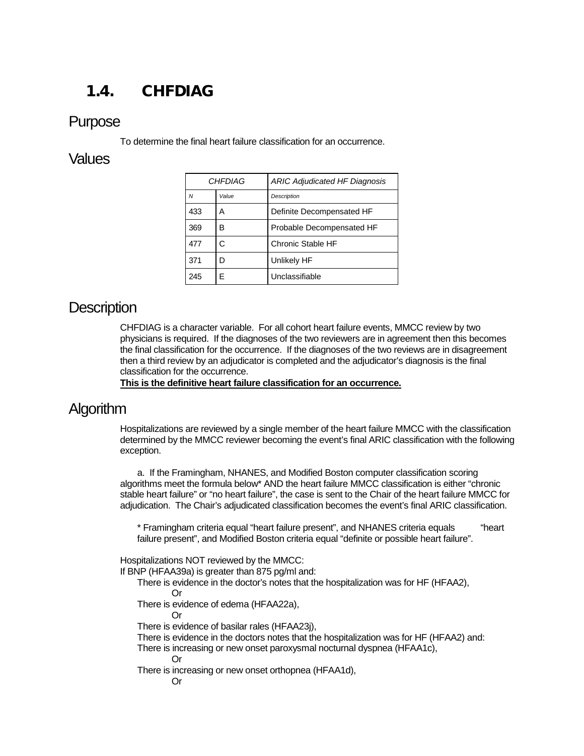# <span id="page-7-0"></span>1.4. CHFDIAG

#### Purpose

To determine the final heart failure classification for an occurrence.

#### Values

| <b>CHFDIAG</b> |       | <b>ARIC Adjudicated HF Diagnosis</b> |
|----------------|-------|--------------------------------------|
| N              | Value | <b>Description</b>                   |
| 433            | А     | Definite Decompensated HF            |
| 369            | в     | Probable Decompensated HF            |
| 477            | C     | Chronic Stable HF                    |
| 371            |       | Unlikely HF                          |
| 245            |       | Unclassifiable                       |

### **Description**

CHFDIAG is a character variable. For all cohort heart failure events, MMCC review by two physicians is required. If the diagnoses of the two reviewers are in agreement then this becomes the final classification for the occurrence. If the diagnoses of the two reviews are in disagreement then a third review by an adjudicator is completed and the adjudicator's diagnosis is the final classification for the occurrence.

**This is the definitive heart failure classification for an occurrence.**

### Algorithm

Hospitalizations are reviewed by a single member of the heart failure MMCC with the classification determined by the MMCC reviewer becoming the event's final ARIC classification with the following exception.

a. If the Framingham, NHANES, and Modified Boston computer classification scoring algorithms meet the formula below\* AND the heart failure MMCC classification is either "chronic stable heart failure" or "no heart failure", the case is sent to the Chair of the heart failure MMCC for adjudication. The Chair's adjudicated classification becomes the event's final ARIC classification.

\* Framingham criteria equal "heart failure present", and NHANES criteria equals "heart failure present", and Modified Boston criteria equal "definite or possible heart failure".

Hospitalizations NOT reviewed by the MMCC:

If BNP (HFAA39a) is greater than 875 pg/ml and:

There is evidence in the doctor's notes that the hospitalization was for HF (HFAA2),

Or

There is evidence of edema (HFAA22a),

Or

There is evidence of basilar rales (HFAA23j),

There is evidence in the doctors notes that the hospitalization was for HF (HFAA2) and:

There is increasing or new onset paroxysmal nocturnal dyspnea (HFAA1c),

Or

There is increasing or new onset orthopnea (HFAA1d),

Or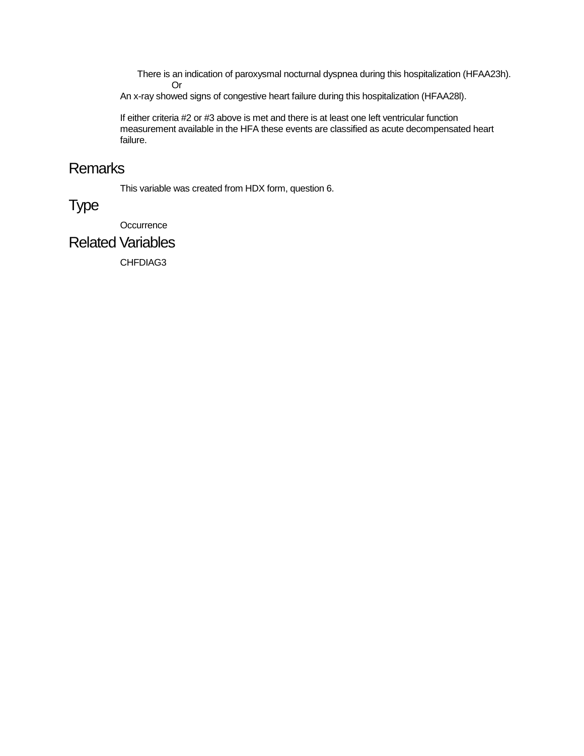There is an indication of paroxysmal nocturnal dyspnea during this hospitalization (HFAA23h). Or

An x-ray showed signs of congestive heart failure during this hospitalization (HFAA28l).

If either criteria #2 or #3 above is met and there is at least one left ventricular function measurement available in the HFA these events are classified as acute decompensated heart failure.

### Remarks

This variable was created from HDX form, question 6.

## Type

**Occurrence** 

### Related Variables

CHFDIAG3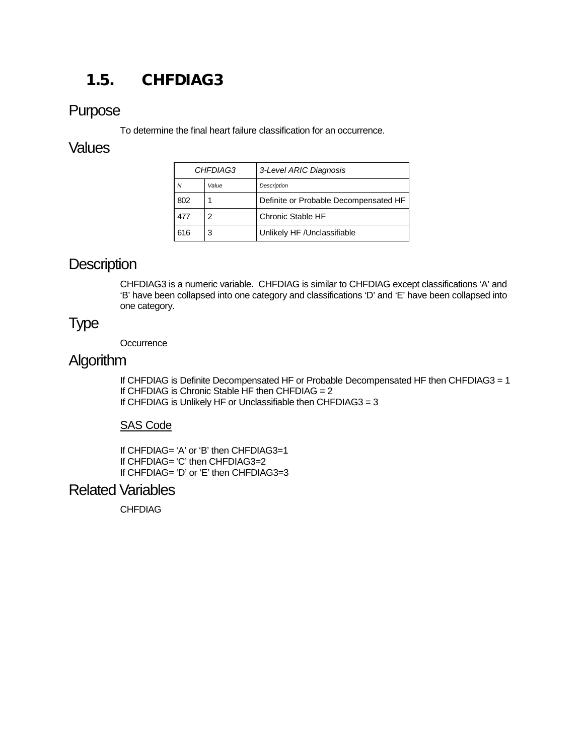# <span id="page-9-0"></span>1.5. CHFDIAG3

### Purpose

To determine the final heart failure classification for an occurrence.

#### Values

| <i>CHFDIAG3</i> |       | 3-Level ARIC Diagnosis                |
|-----------------|-------|---------------------------------------|
| N               | Value | Description                           |
| 802             |       | Definite or Probable Decompensated HF |
| 477             | 2     | Chronic Stable HF                     |
| 616             | 3     | Unlikely HF / Unclassifiable          |

### **Description**

CHFDIAG3 is a numeric variable. CHFDIAG is similar to CHFDIAG except classifications 'A' and 'B' have been collapsed into one category and classifications 'D' and 'E' have been collapsed into one category.

## Type

**Occurrence** 

### **Algorithm**

If CHFDIAG is Definite Decompensated HF or Probable Decompensated HF then CHFDIAG3 = 1 If CHFDIAG is Chronic Stable HF then CHFDIAG = 2 If CHFDIAG is Unlikely HF or Unclassifiable then CHFDIAG3 = 3

#### SAS Code

If CHFDIAG= 'A' or 'B' then CHFDIAG3=1 If CHFDIAG= 'C' then CHFDIAG3=2 If CHFDIAG= 'D' or 'E' then CHFDIAG3=3

#### Related Variables

CHFDIAG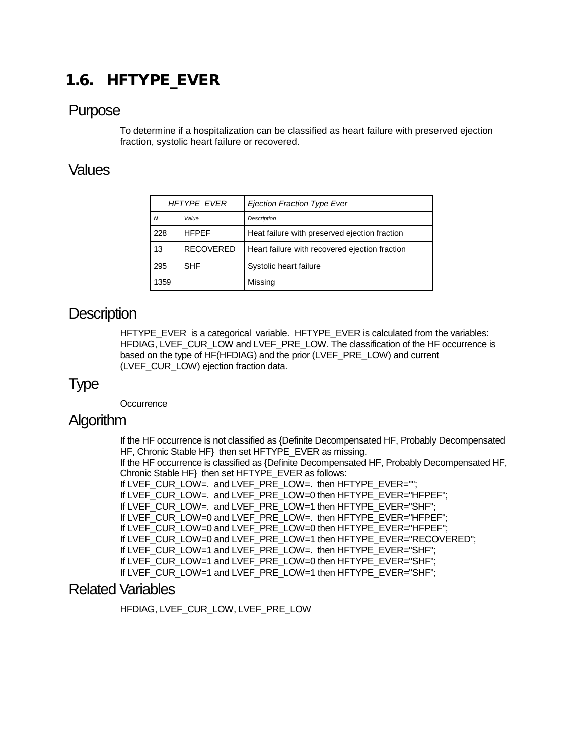# <span id="page-10-0"></span>1.6. HFTYPE\_EVER

#### Purpose

To determine if a hospitalization can be classified as heart failure with preserved ejection fraction, systolic heart failure or recovered.

### Values

| <b>HFTYPE EVER</b> |                  | <b>Ejection Fraction Type Ever</b>             |
|--------------------|------------------|------------------------------------------------|
| Value<br>N         |                  | Description                                    |
| 228                | <b>HFPEF</b>     | Heat failure with preserved ejection fraction  |
| 13                 | <b>RECOVERED</b> | Heart failure with recovered ejection fraction |
| <b>SHF</b><br>295  |                  | Systolic heart failure                         |
| 1359               |                  | Missing                                        |

### **Description**

HFTYPE\_EVER is a categorical variable. HFTYPE\_EVER is calculated from the variables: HFDIAG, LVEF\_CUR\_LOW and LVEF\_PRE\_LOW. The classification of the HF occurrence is based on the type of HF(HFDIAG) and the prior (LVEF\_PRE\_LOW) and current (LVEF\_CUR\_LOW) ejection fraction data.

### Type

**Occurrence** 

### Algorithm

If the HF occurrence is not classified as {Definite Decompensated HF, Probably Decompensated HF, Chronic Stable HF} then set HFTYPE\_EVER as missing.

If the HF occurrence is classified as {Definite Decompensated HF, Probably Decompensated HF, Chronic Stable HF} then set HFTYPE\_EVER as follows:

If LVEF\_CUR\_LOW=. and LVEF\_PRE\_LOW=. then HFTYPE\_EVER="";

If LVEF\_CUR\_LOW=. and LVEF\_PRE\_LOW=0 then HFTYPE\_EVER="HFPEF";

```
If LVEF CUR LOW=. and LVEF PRE LOW=1 then HFTYPE EVER="SHF";
```
If LVEF\_CUR\_LOW=0 and LVEF\_PRE\_LOW=. then HFTYPE\_EVER="HFPEF";

If LVEF\_CUR\_LOW=0 and LVEF\_PRE\_LOW=0 then HFTYPE\_EVER="HFPEF";

```
If LVEF_CUR_LOW=0 and LVEF_PRE_LOW=1 then HFTYPE_EVER="RECOVERED";
```
If LVEF\_CUR\_LOW=1 and LVEF\_PRE\_LOW=. then HFTYPE\_EVER="SHF";

```
If LVEF_CUR_LOW=1 and LVEF_PRE_LOW=0 then HFTYPE_EVER="SHF";
```

```
If LVEF_CUR_LOW=1 and LVEF_PRE_LOW=1 then HFTYPE_EVER="SHF";
```
#### Related Variables

HFDIAG, LVEF\_CUR\_LOW, LVEF\_PRE\_LOW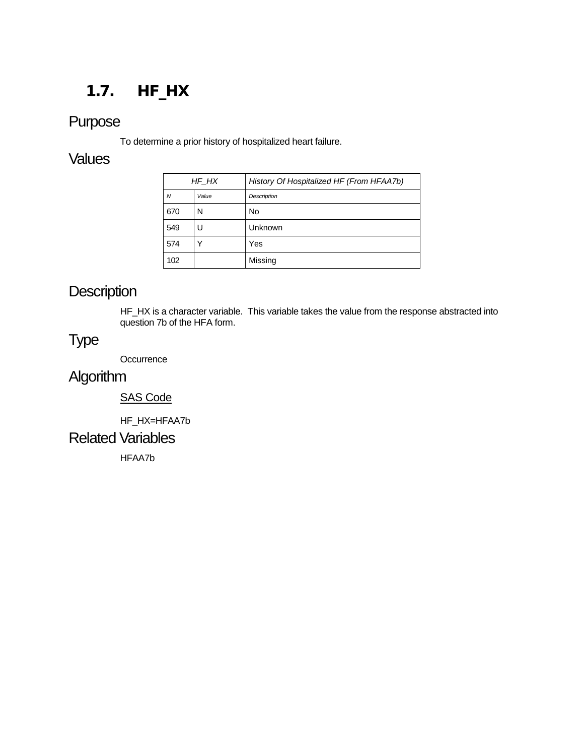# <span id="page-11-0"></span>1.7. HF\_HX

# Purpose

To determine a prior history of hospitalized heart failure.

#### **Values**

| HF HX |       | History Of Hospitalized HF (From HFAA7b) |
|-------|-------|------------------------------------------|
| N     | Value | Description                              |
| 670   | N     | No                                       |
| 549   | U     | Unknown                                  |
| 574   |       | Yes                                      |
| 102   |       | Missing                                  |

# **Description**

HF\_HX is a character variable. This variable takes the value from the response abstracted into question 7b of the HFA form.

### Type

**Occurrence** 

# **Algorithm**

#### SAS Code

HF\_HX=HFAA7b

#### Related Variables

HFAA7b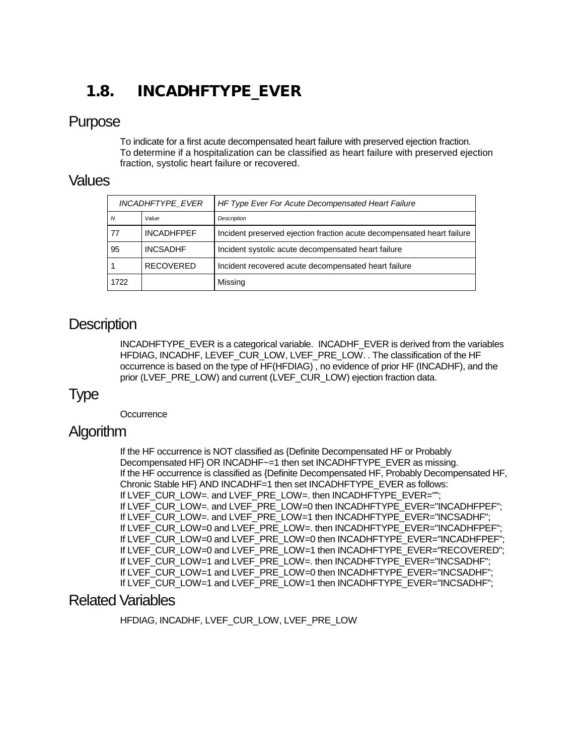# <span id="page-12-0"></span>1.8. INCADHFTYPE\_EVER

### Purpose

To indicate for a first acute decompensated heart failure with preserved ejection fraction. To determine if a hospitalization can be classified as heart failure with preserved ejection fraction, systolic heart failure or recovered.

#### Values

| <b>INCADHFTYPE EVER</b> |                   | HF Type Ever For Acute Decompensated Heart Failure                     |
|-------------------------|-------------------|------------------------------------------------------------------------|
| N                       | Value             | Description                                                            |
| 77                      | <b>INCADHFPEF</b> | Incident preserved ejection fraction acute decompensated heart failure |
| 95                      | <b>INCSADHF</b>   | Incident systolic acute decompensated heart failure                    |
|                         | <b>RECOVERED</b>  | Incident recovered acute decompensated heart failure                   |
| 1722                    |                   | Missing                                                                |

### **Description**

INCADHFTYPE\_EVER is a categorical variable. INCADHF\_EVER is derived from the variables HFDIAG, INCADHF, LEVEF\_CUR\_LOW, LVEF\_PRE\_LOW. . The classification of the HF occurrence is based on the type of HF(HFDIAG) , no evidence of prior HF (INCADHF), and the prior (LVEF\_PRE\_LOW) and current (LVEF\_CUR\_LOW) ejection fraction data.

### Type

**Occurrence** 

### **Algorithm**

If the HF occurrence is NOT classified as {Definite Decompensated HF or Probably Decompensated HF} OR INCADHF~=1 then set INCADHFTYPE\_EVER as missing. If the HF occurrence is classified as {Definite Decompensated HF, Probably Decompensated HF, Chronic Stable HF} AND INCADHF=1 then set INCADHFTYPE\_EVER as follows: If LVEF\_CUR\_LOW=. and LVEF\_PRE\_LOW=. then INCADHFTYPE\_EVER=""; If LVEF CUR LOW=, and LVEF PRE LOW=0 then INCADHFTYPE EVER="INCADHFPEF": If LVEF\_CUR\_LOW=. and LVEF\_PRE\_LOW=1 then INCADHFTYPE\_EVER="INCSADHF"; If LVEF\_CUR\_LOW=0 and LVEF\_PRE\_LOW=. then INCADHFTYPE\_EVER="INCADHFPEF"; If LVEF\_CUR\_LOW=0 and LVEF\_PRE\_LOW=0 then INCADHFTYPE\_EVER="INCADHFPEF"; If LVEF\_CUR\_LOW=0 and LVEF\_PRE\_LOW=1 then INCADHFTYPE\_EVER="RECOVERED"; If LVEF\_CUR\_LOW=1 and LVEF\_PRE\_LOW=. then INCADHFTYPE\_EVER="INCSADHF"; If LVEF CUR LOW=1 and LVEF\_PRE\_LOW=0 then INCADHFTYPE\_EVER="INCSADHF"; If LVEF\_CUR\_LOW=1 and LVEF\_PRE\_LOW=1 then INCADHFTYPE\_EVER="INCSADHF";

#### Related Variables

HFDIAG, INCADHF, LVEF CUR LOW, LVEF PRE LOW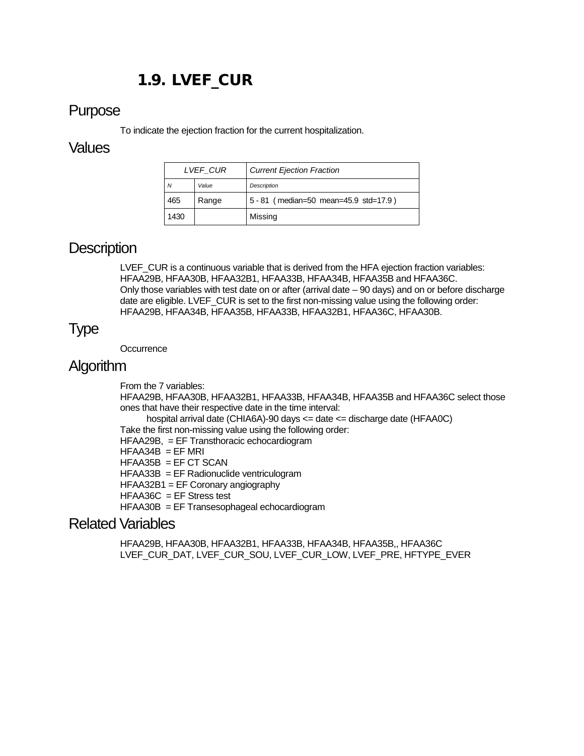# 1.9. LVEF\_CUR

### <span id="page-13-0"></span>Purpose

To indicate the ejection fraction for the current hospitalization.

#### **Values**

| LVEF CUR |       | <b>Current Ejection Fraction</b>      |
|----------|-------|---------------------------------------|
| N        | Value | <b>Description</b>                    |
| 465      | Range | 5 - 81 (median=50 mean=45.9 std=17.9) |
| 1430     |       | Missing                               |

### **Description**

LVEF\_CUR is a continuous variable that is derived from the HFA ejection fraction variables: HFAA29B, HFAA30B, HFAA32B1, HFAA33B, HFAA34B, HFAA35B and HFAA36C. Only those variables with test date on or after (arrival date – 90 days) and on or before discharge date are eligible. LVEF\_CUR is set to the first non-missing value using the following order: HFAA29B, HFAA34B, HFAA35B, HFAA33B, HFAA32B1, HFAA36C, HFAA30B.

# Type

**Occurrence** 

### Algorithm

From the 7 variables: HFAA29B, HFAA30B, HFAA32B1, HFAA33B, HFAA34B, HFAA35B and HFAA36C select those ones that have their respective date in the time interval: hospital arrival date (CHIA6A)-90 days <= date <= discharge date (HFAA0C) Take the first non-missing value using the following order: HFAA29B, = EF Transthoracic echocardiogram  $HFAA34B = EF MRI$ HFAA35B = EF CT SCAN HFAA33B = EF Radionuclide ventriculogram HFAA32B1 = EF Coronary angiography  $HFAA36C = EF$  Stress test

HFAA30B = EF Transesophageal echocardiogram

### Related Variables

HFAA29B, HFAA30B, HFAA32B1, HFAA33B, HFAA34B, HFAA35B,, HFAA36C LVEF\_CUR\_DAT, LVEF\_CUR\_SOU, LVEF\_CUR\_LOW, LVEF\_PRE, HFTYPE\_EVER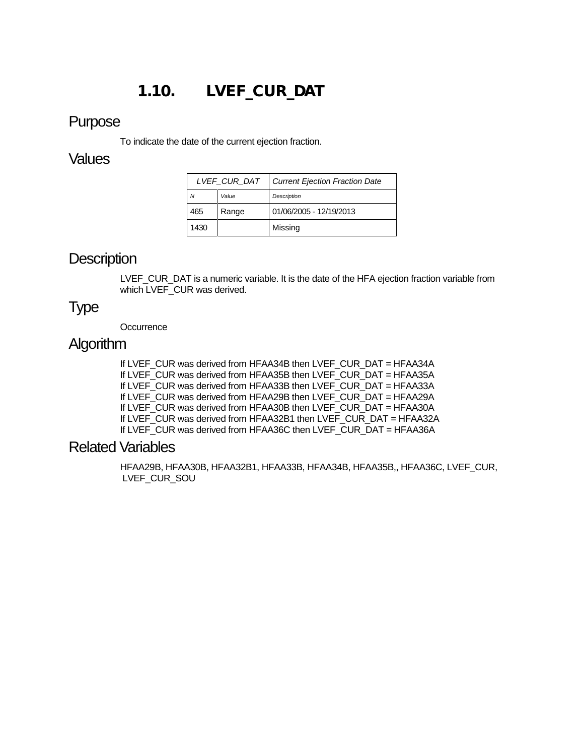# 1.10. LVEF\_CUR\_DAT

#### <span id="page-14-0"></span>Purpose

To indicate the date of the current ejection fraction.

#### **Values**

| LVEF CUR DAT |       | <b>Current Ejection Fraction Date</b> |
|--------------|-------|---------------------------------------|
| Ν            | Value | Description                           |
| 465          | Range | 01/06/2005 - 12/19/2013               |
| 1430         |       | Missing                               |

### **Description**

LVEF\_CUR\_DAT is a numeric variable. It is the date of the HFA ejection fraction variable from which LVEF CUR was derived.

### Type

**Occurrence** 

### Algorithm

If LVEF\_CUR was derived from HFAA34B then LVEF\_CUR\_DAT = HFAA34A If LVEF CUR was derived from HFAA35B then LVEF CUR\_DAT = HFAA35A If LVEF\_CUR was derived from HFAA33B then LVEF\_CUR\_DAT = HFAA33A If LVEF\_CUR was derived from HFAA29B then LVEF\_CUR\_DAT = HFAA29A If LVEF\_CUR was derived from HFAA30B then LVEF\_CUR\_DAT = HFAA30A If LVEF\_CUR was derived from HFAA32B1 then LVEF\_CUR\_DAT = HFAA32A If LVEF\_CUR was derived from HFAA36C then LVEF\_CUR\_DAT = HFAA36A

#### Related Variables

HFAA29B, HFAA30B, HFAA32B1, HFAA33B, HFAA34B, HFAA35B,, HFAA36C, LVEF\_CUR, LVEF\_CUR\_SOU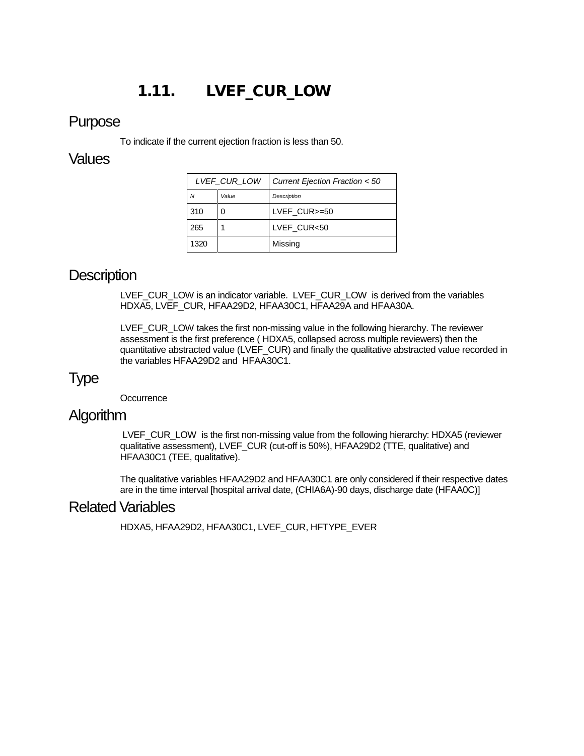# 1.11. LVEF\_CUR\_LOW

#### <span id="page-15-0"></span>Purpose

To indicate if the current ejection fraction is less than 50.

#### **Values**

| LVEF CUR LOW |       | Current Ejection Fraction < 50 |
|--------------|-------|--------------------------------|
| Ν            | Value | <b>Description</b>             |
| 310          |       | LVEF CUR>=50                   |
| 265          |       | LVEF CUR<50                    |
| 1320         |       | Missing                        |

### **Description**

LVEF\_CUR\_LOW is an indicator variable. LVEF\_CUR\_LOW is derived from the variables HDXA5, LVEF\_CUR, HFAA29D2, HFAA30C1, HFAA29A and HFAA30A.

LVEF\_CUR\_LOW takes the first non-missing value in the following hierarchy. The reviewer assessment is the first preference ( HDXA5, collapsed across multiple reviewers) then the quantitative abstracted value (LVEF\_CUR) and finally the qualitative abstracted value recorded in the variables HFAA29D2 and HFAA30C1.

### Type

**Occurrence** 

### **Algorithm**

LVEF\_CUR\_LOW is the first non-missing value from the following hierarchy: HDXA5 (reviewer qualitative assessment), LVEF\_CUR (cut-off is 50%), HFAA29D2 (TTE, qualitative) and HFAA30C1 (TEE, qualitative).

The qualitative variables HFAA29D2 and HFAA30C1 are only considered if their respective dates are in the time interval [hospital arrival date, (CHIA6A)-90 days, discharge date (HFAA0C)]

### Related Variables

HDXA5, HFAA29D2, HFAA30C1, LVEF\_CUR, HFTYPE\_EVER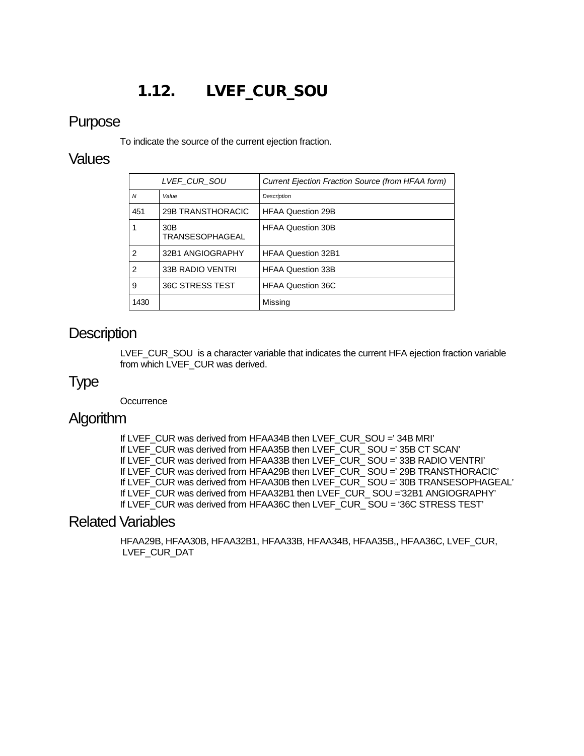# 1.12. LVEF\_CUR\_SOU

#### <span id="page-16-0"></span>Purpose

To indicate the source of the current ejection fraction.

#### **Values**

|                | LVEF CUR SOU                  | Current Ejection Fraction Source (from HFAA form) |
|----------------|-------------------------------|---------------------------------------------------|
| $\overline{N}$ | Value                         | <b>Description</b>                                |
| 451            | 29B TRANSTHORACIC             | <b>HFAA Question 29B</b>                          |
|                | 30B<br><b>TRANSESOPHAGEAL</b> | <b>HFAA Question 30B</b>                          |
| $\overline{2}$ | 32B1 ANGIOGRAPHY              | <b>HFAA Question 32B1</b>                         |
| 2              | 33B RADIO VENTRI              | <b>HFAA Question 33B</b>                          |
| 9              | 36C STRESS TEST               | <b>HFAA Question 36C</b>                          |
| 1430           |                               | Missing                                           |

### **Description**

LVEF\_CUR\_SOU is a character variable that indicates the current HFA ejection fraction variable from which LVEF\_CUR was derived.

### Type

**Occurrence** 

### **Algorithm**

If LVEF CUR was derived from HFAA34B then LVEF CUR SOU =' 34B MRI' If LVEF\_CUR was derived from HFAA35B then LVEF\_CUR\_ SOU =' 35B CT SCAN' If LVEF CUR was derived from HFAA33B then LVEF CUR SOU =' 33B RADIO VENTRI' If LVEF\_CUR was derived from HFAA29B then LVEF\_CUR\_ SOU =' 29B TRANSTHORACIC' If LVEF\_CUR was derived from HFAA30B then LVEF\_CUR\_ SOU =' 30B TRANSESOPHAGEAL' If LVEF\_CUR was derived from HFAA32B1 then LVEF\_CUR\_ SOU ='32B1 ANGIOGRAPHY' If LVEF\_CUR was derived from HFAA36C then LVEF\_CUR\_ SOU = '36C STRESS TEST'

#### Related Variables

HFAA29B, HFAA30B, HFAA32B1, HFAA33B, HFAA34B, HFAA35B,, HFAA36C, LVEF\_CUR, LVEF CUR DAT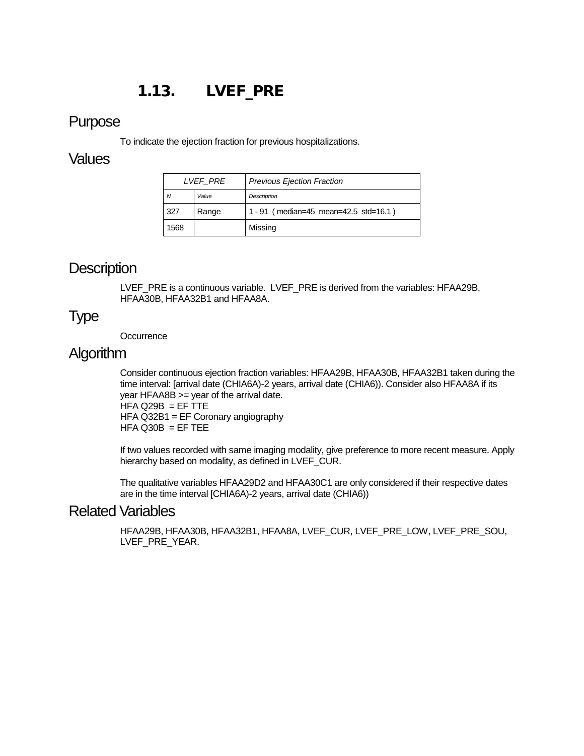# 1.13. LVEF\_PRE

#### <span id="page-17-0"></span>Purpose

To indicate the ejection fraction for previous hospitalizations.

#### Values

| <i>LVEF PRE</i> |       | <b>Previous Ejection Fraction</b>     |
|-----------------|-------|---------------------------------------|
| N               | Value | Description                           |
| 327             | Range | 1 - 91 (median=45 mean=42.5 std=16.1) |
| 1568            |       | Missing                               |

### **Description**

LVEF\_PRE is a continuous variable. LVEF\_PRE is derived from the variables: HFAA29B, HFAA30B, HFAA32B1 and HFAA8A.

### Type

**Occurrence** 

### Algorithm

Consider continuous ejection fraction variables: HFAA29B, HFAA30B, HFAA32B1 taken during the time interval: [arrival date (CHIA6A)-2 years, arrival date (CHIA6)). Consider also HFAA8A if its year HFAA8B >= year of the arrival date.  $HFA$  Q29B = EF TTE HFA Q32B1 = EF Coronary angiography  $HFA$  Q30B = EF TEE

If two values recorded with same imaging modality, give preference to more recent measure. Apply hierarchy based on modality, as defined in LVEF\_CUR.

The qualitative variables HFAA29D2 and HFAA30C1 are only considered if their respective dates are in the time interval [CHIA6A)-2 years, arrival date (CHIA6))

### Related Variables

HFAA29B, HFAA30B, HFAA32B1, HFAA8A, LVEF\_CUR, LVEF\_PRE\_LOW, LVEF\_PRE\_SOU, LVEF\_PRE\_YEAR.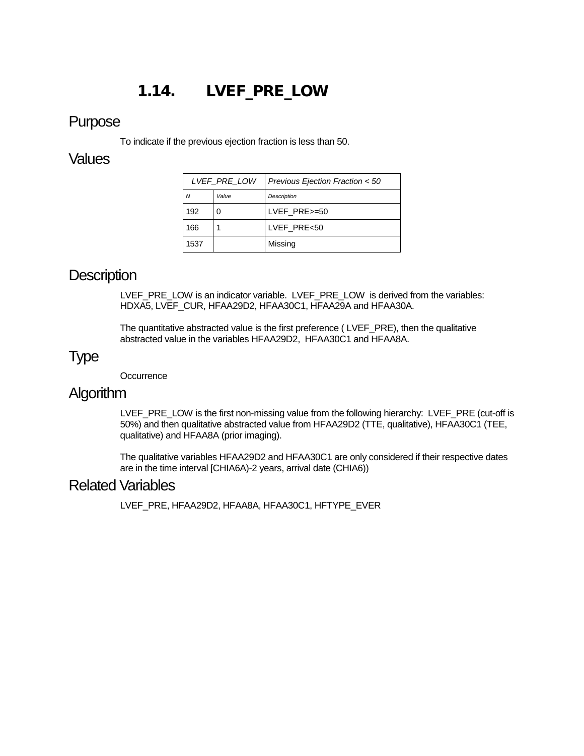# 1.14. LVEF\_PRE\_LOW

#### <span id="page-18-0"></span>Purpose

To indicate if the previous ejection fraction is less than 50.

#### **Values**

| LVEF PRE LOW |       | Previous Ejection Fraction < 50 |
|--------------|-------|---------------------------------|
| N            | Value | <b>Description</b>              |
| 192          |       | LVEF PRE>=50                    |
| 166          |       | LVEF PRE<50                     |
| 1537         |       | Missing                         |

### **Description**

LVEF\_PRE\_LOW is an indicator variable. LVEF\_PRE\_LOW is derived from the variables: HDXA5, LVEF\_CUR, HFAA29D2, HFAA30C1, HFAA29A and HFAA30A.

The quantitative abstracted value is the first preference ( LVEF\_PRE), then the qualitative abstracted value in the variables HFAA29D2, HFAA30C1 and HFAA8A.

## Type

**Occurrence** 

### Algorithm

LVEF\_PRE\_LOW is the first non-missing value from the following hierarchy: LVEF\_PRE (cut-off is 50%) and then qualitative abstracted value from HFAA29D2 (TTE, qualitative), HFAA30C1 (TEE, qualitative) and HFAA8A (prior imaging).

The qualitative variables HFAA29D2 and HFAA30C1 are only considered if their respective dates are in the time interval [CHIA6A)-2 years, arrival date (CHIA6))

### Related Variables

LVEF\_PRE, HFAA29D2, HFAA8A, HFAA30C1, HFTYPE\_EVER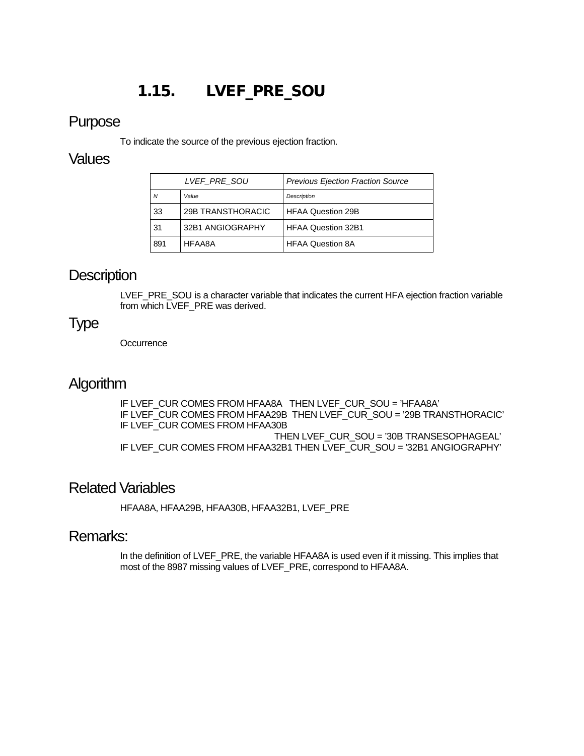# 1.15. LVEF\_PRE\_SOU

#### <span id="page-19-0"></span>Purpose

To indicate the source of the previous ejection fraction.

#### **Values**

| LVEF PRE SOU |                   | <b>Previous Ejection Fraction Source</b> |
|--------------|-------------------|------------------------------------------|
| Ν            | Value             | Description                              |
| 33           | 29B TRANSTHORACIC | HFAA Question 29B                        |
| 31           | 32B1 ANGIOGRAPHY  | <b>HFAA Question 32B1</b>                |
| 891          | HFAA8A            | <b>HFAA Question 8A</b>                  |

### **Description**

LVEF\_PRE\_SOU is a character variable that indicates the current HFA ejection fraction variable from which LVEF\_PRE was derived.

### Type

**Occurrence** 

### **Algorithm**

IF LVEF\_CUR COMES FROM HFAA8A THEN LVEF\_CUR\_SOU = 'HFAA8A' IF LVEF\_CUR COMES FROM HFAA29B THEN LVEF\_CUR\_SOU = '29B TRANSTHORACIC' IF LVEF\_CUR COMES FROM HFAA30B THEN LVEF\_CUR\_SOU = '30B TRANSESOPHAGEAL' IF LVEF CUR COMES FROM HFAA32B1 THEN LVEF CUR SOU = '32B1 ANGIOGRAPHY'

### Related Variables

HFAA8A, HFAA29B, HFAA30B, HFAA32B1, LVEF\_PRE

### Remarks:

In the definition of LVEF\_PRE, the variable HFAA8A is used even if it missing. This implies that most of the 8987 missing values of LVEF\_PRE, correspond to HFAA8A.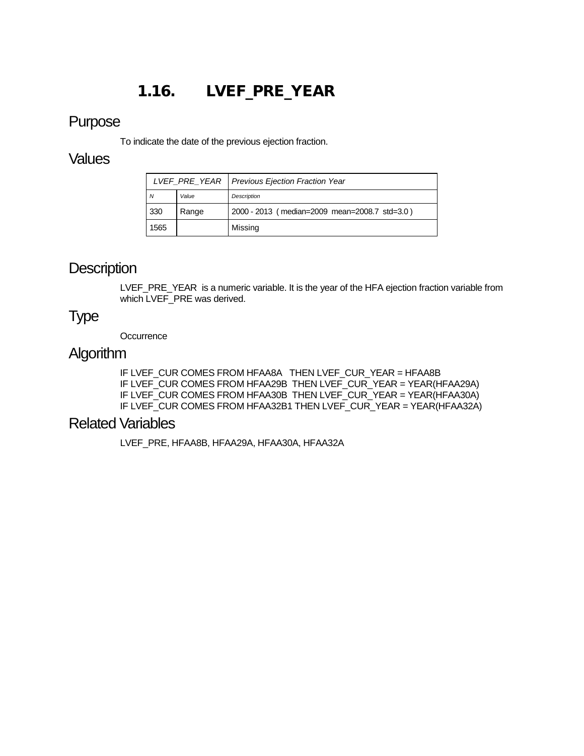# 1.16. LVEF\_PRE\_YEAR

#### <span id="page-20-0"></span>Purpose

To indicate the date of the previous ejection fraction.

#### **Values**

|      |       | LVEF PRE YEAR   Previous Ejection Fraction Year |
|------|-------|-------------------------------------------------|
| N    | Value | Description                                     |
| 330  | Range | 2000 - 2013 (median=2009 mean=2008.7 std=3.0)   |
| 1565 |       | Missing                                         |

### **Description**

LVEF\_PRE\_YEAR is a numeric variable. It is the year of the HFA ejection fraction variable from which LVEF\_PRE was derived.

#### Type

**Occurrence** 

#### Algorithm

IF LVEF\_CUR COMES FROM HFAA8A THEN LVEF\_CUR\_YEAR = HFAA8B IF LVEF\_CUR COMES FROM HFAA29B THEN LVEF\_CUR\_YEAR = YEAR(HFAA29A) IF LVEF\_CUR COMES FROM HFAA30B THEN LVEF\_CUR\_YEAR = YEAR(HFAA30A) IF LVEF\_CUR COMES FROM HFAA32B1 THEN LVEF\_CUR\_YEAR = YEAR(HFAA32A)

### Related Variables

LVEF\_PRE, HFAA8B, HFAA29A, HFAA30A, HFAA32A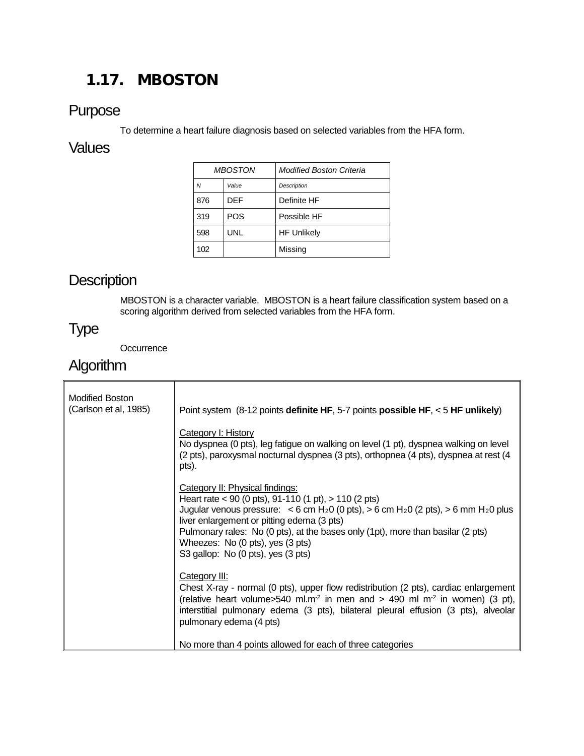# <span id="page-21-0"></span>1.17. MBOSTON

### Purpose

To determine a heart failure diagnosis based on selected variables from the HFA form.

### **Values**

| <b>MBOSTON</b> |            | <b>Modified Boston Criteria</b> |
|----------------|------------|---------------------------------|
| $\overline{M}$ | Value      | <b>Description</b>              |
| 876            | DEF        | Definite HF                     |
| 319            | <b>POS</b> | Possible HF                     |
| 598            | UNL        | <b>HF Unlikely</b>              |
| 102            |            | Missing                         |

# **Description**

MBOSTON is a character variable. MBOSTON is a heart failure classification system based on a scoring algorithm derived from selected variables from the HFA form.

# Type

**Occurrence** 

# **Algorithm**

| <b>Modified Boston</b><br>(Carlson et al, 1985) | Point system $(8-12 \text{ points definite HF}, 5-7 \text{ points possible HF}, 5 \text{ HF}}$ unlikely)<br><b>Category I: History</b><br>No dyspnea (0 pts), leg fatigue on walking on level (1 pt), dyspnea walking on level                                                                                                                                                                                                     |
|-------------------------------------------------|------------------------------------------------------------------------------------------------------------------------------------------------------------------------------------------------------------------------------------------------------------------------------------------------------------------------------------------------------------------------------------------------------------------------------------|
|                                                 | (2 pts), paroxysmal nocturnal dyspnea (3 pts), orthopnea (4 pts), dyspnea at rest (4<br>pts).                                                                                                                                                                                                                                                                                                                                      |
|                                                 | Category II: Physical findings:<br>Heart rate < 90 (0 pts), 91-110 (1 pt), $> 110$ (2 pts)<br>Jugular venous pressure: $<$ 6 cm H <sub>2</sub> 0 (0 pts), > 6 cm H <sub>2</sub> 0 (2 pts), > 6 mm H <sub>2</sub> 0 plus<br>liver enlargement or pitting edema (3 pts)<br>Pulmonary rales: No (0 pts), at the bases only (1pt), more than basilar (2 pts)<br>Wheezes: No (0 pts), yes (3 pts)<br>S3 gallop: No (0 pts), yes (3 pts) |
|                                                 | Category III:<br>Chest X-ray - normal (0 pts), upper flow redistribution (2 pts), cardiac enlargement<br>(relative heart volume>540 ml.m <sup>2</sup> in men and > 490 ml m <sup>2</sup> in women) (3 pt),<br>interstitial pulmonary edema (3 pts), bilateral pleural effusion (3 pts), alveolar<br>pulmonary edema (4 pts)                                                                                                        |
|                                                 | No more than 4 points allowed for each of three categories                                                                                                                                                                                                                                                                                                                                                                         |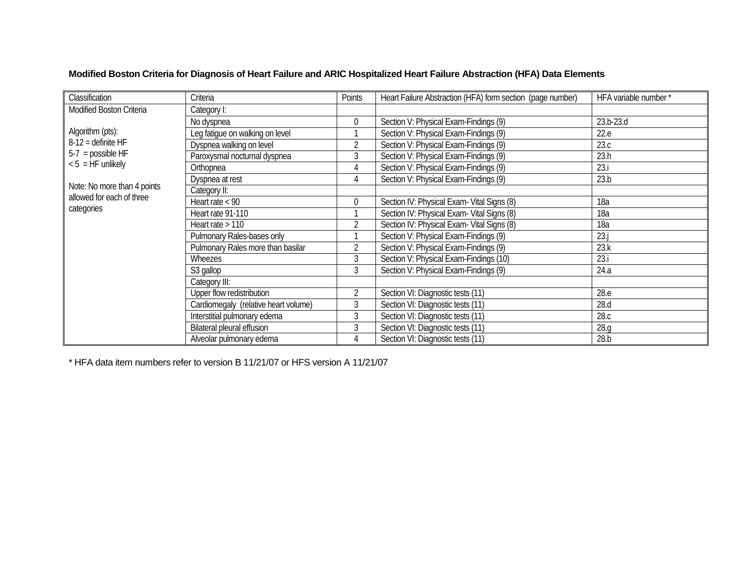| Classification                          | Criteria                             | Points         | Heart Failure Abstraction (HFA) form section (page number) | HFA variable number* |
|-----------------------------------------|--------------------------------------|----------------|------------------------------------------------------------|----------------------|
| Modified Boston Criteria<br>Category I: |                                      |                |                                                            |                      |
|                                         | No dyspnea                           | 0              | Section V: Physical Exam-Findings (9)                      | 23.b-23.d            |
| Algorithm (pts):                        | Leg fatigue on walking on level      |                | Section V: Physical Exam-Findings (9)                      | 22.e                 |
| $8-12$ = definite HF                    | Dyspnea walking on level             | 2              | Section V: Physical Exam-Findings (9)                      | 23.c                 |
| $5-7$ = possible HF                     | Paroxysmal nocturnal dyspnea         | 3              | Section V: Physical Exam-Findings (9)                      | 23.h                 |
| $< 5$ = HF unlikely                     | Orthopnea                            | 4              | Section V: Physical Exam-Findings (9)                      | 23.1                 |
|                                         | Dyspnea at rest                      | 4              | Section V: Physical Exam-Findings (9)                      | 23.b                 |
| Note: No more than 4 points             | Category II:                         |                |                                                            |                      |
| allowed for each of three               | Heart rate $<$ 90                    | 0              | Section IV: Physical Exam- Vital Signs (8)                 | 18a                  |
| categories                              | Heart rate 91-110                    |                | Section IV: Physical Exam- Vital Signs (8)                 | 18a                  |
|                                         | Heart rate > 110                     | $\overline{2}$ | Section IV: Physical Exam- Vital Signs (8)                 | 18a                  |
|                                         | Pulmonary Rales-bases only           |                | Section V: Physical Exam-Findings (9)                      | 23.                  |
|                                         | Pulmonary Rales more than basilar    | 2              | Section V: Physical Exam-Findings (9)                      | 23.k                 |
|                                         | Wheezes                              | 3              | Section V: Physical Exam-Findings (10)                     | 23.i                 |
|                                         | S3 gallop                            | 3              | Section V: Physical Exam-Findings (9)                      | 24.a                 |
|                                         | Category III:                        |                |                                                            |                      |
|                                         | Upper flow redistribution            | $\overline{2}$ | Section VI: Diagnostic tests (11)                          | 28.e                 |
|                                         | Cardiomegaly (relative heart volume) | 3              | Section VI: Diagnostic tests (11)                          | 28.d                 |
|                                         | Interstitial pulmonary edema         | 3              | Section VI: Diagnostic tests (11)                          | 28.c                 |
|                                         | Bilateral pleural effusion           | 3              | Section VI: Diagnostic tests (11)                          | 28.q                 |
|                                         | Alveolar pulmonary edema             | 4              | Section VI: Diagnostic tests (11)                          | 28.b                 |

**Modified Boston Criteria for Diagnosis of Heart Failure and ARIC Hospitalized Heart Failure Abstraction (HFA) Data Elements**

\* HFA data item numbers refer to version B 11/21/07 or HFS version A 11/21/07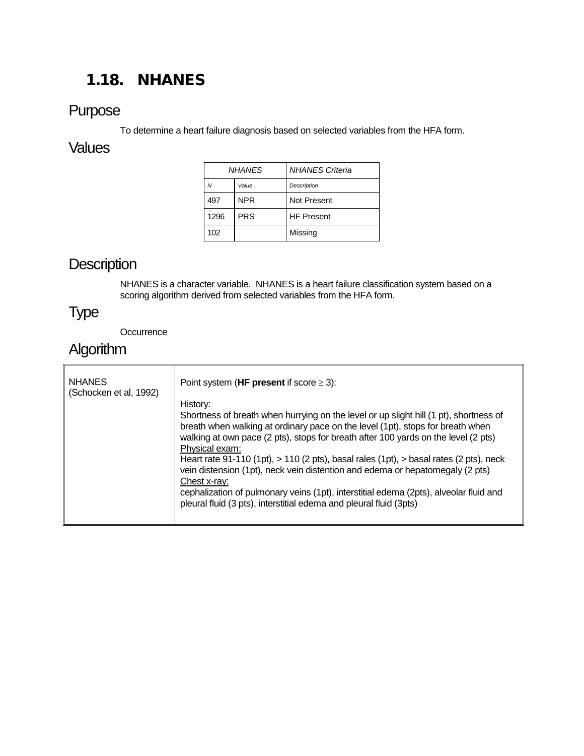# <span id="page-23-0"></span>1.18. NHANES

### Purpose

To determine a heart failure diagnosis based on selected variables from the HFA form.

### **Values**

| NHANFS |            | <b>NHANES Criteria</b> |
|--------|------------|------------------------|
| Ν      | Value      | Description            |
| 497    | <b>NPR</b> | Not Present            |
| 1296   | <b>PRS</b> | <b>HF Present</b>      |
| 102    |            | Missing                |

## **Description**

NHANES is a character variable. NHANES is a heart failure classification system based on a scoring algorithm derived from selected variables from the HFA form.

# Type

**Occurrence** 

# Algorithm

| <b>NHANES</b><br>(Schocken et al, 1992) | Point system (HF present if score $\geq$ 3):                                                                                                                                                                                                                                                                                                                                                                                                                                                                                                                                                                                                              |  |
|-----------------------------------------|-----------------------------------------------------------------------------------------------------------------------------------------------------------------------------------------------------------------------------------------------------------------------------------------------------------------------------------------------------------------------------------------------------------------------------------------------------------------------------------------------------------------------------------------------------------------------------------------------------------------------------------------------------------|--|
|                                         | History:<br>Shortness of breath when hurrying on the level or up slight hill (1 pt), shortness of<br>breath when walking at ordinary pace on the level (1pt), stops for breath when<br>walking at own pace (2 pts), stops for breath after 100 yards on the level (2 pts)<br>Physical exam:<br>Heart rate 91-110 (1pt), $> 110$ (2 pts), basal rales (1pt), $>$ basal rates (2 pts), neck<br>vein distension (1pt), neck vein distention and edema or hepatomegaly (2 pts)<br>Chest x-ray:<br>cephalization of pulmonary veins (1pt), interstitial edema (2pts), alveolar fluid and<br>pleural fluid (3 pts), interstitial edema and pleural fluid (3pts) |  |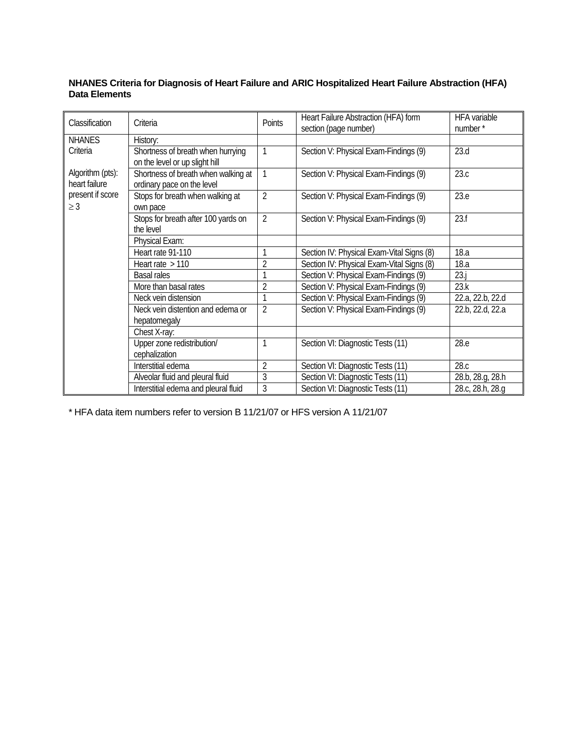| Classification                    | Criteria                                                            | Points         | Heart Failure Abstraction (HFA) form<br>section (page number) | <b>HFA</b> variable<br>number* |
|-----------------------------------|---------------------------------------------------------------------|----------------|---------------------------------------------------------------|--------------------------------|
| <b>NHANES</b>                     | History:                                                            |                |                                                               |                                |
| Criteria                          | Shortness of breath when hurrying<br>on the level or up slight hill | 1              | Section V: Physical Exam-Findings (9)                         | 23.d                           |
| Algorithm (pts):<br>heart failure | Shortness of breath when walking at<br>ordinary pace on the level   | 1              | Section V: Physical Exam-Findings (9)                         | 23.c                           |
| present if score<br>$\geq$ 3      | Stops for breath when walking at<br>own pace                        | $\overline{2}$ | Section V: Physical Exam-Findings (9)                         | 23.e                           |
|                                   | Stops for breath after 100 yards on<br>the level                    | $\overline{2}$ | Section V: Physical Exam-Findings (9)                         | 23.f                           |
|                                   | Physical Exam:                                                      |                |                                                               |                                |
|                                   | Heart rate 91-110                                                   |                | Section IV: Physical Exam-Vital Signs (8)                     | 18.a                           |
|                                   | Heart rate $>110$                                                   | 2              | Section IV: Physical Exam-Vital Signs (8)                     | 18.a                           |
|                                   | <b>Basal rales</b>                                                  |                | Section V: Physical Exam-Findings (9)                         | $23.$ j                        |
|                                   | More than basal rates                                               | $\overline{2}$ | Section V: Physical Exam-Findings (9)                         | 23.k                           |
|                                   | Neck vein distension                                                |                | Section V: Physical Exam-Findings (9)                         | 22.a, 22.b, 22.d               |
|                                   | Neck vein distention and edema or<br>hepatomegaly                   | $\overline{2}$ | Section V: Physical Exam-Findings (9)                         | 22.b, 22.d, 22.a               |
|                                   | Chest X-ray:                                                        |                |                                                               |                                |
|                                   | Upper zone redistribution/                                          |                | Section VI: Diagnostic Tests (11)                             | 28.e                           |
|                                   | cephalization                                                       |                |                                                               |                                |
|                                   | Interstitial edema                                                  | $\overline{2}$ | Section VI: Diagnostic Tests (11)                             | 28.c                           |
|                                   | Alveolar fluid and pleural fluid                                    | 3              | Section VI: Diagnostic Tests (11)                             | 28.b, 28.g, 28.h               |
|                                   | Interstitial edema and pleural fluid                                | $\mathfrak{Z}$ | Section VI: Diagnostic Tests (11)                             | 28.c, 28.h, 28.g               |

#### **NHANES Criteria for Diagnosis of Heart Failure and ARIC Hospitalized Heart Failure Abstraction (HFA) Data Elements**

\* HFA data item numbers refer to version B 11/21/07 or HFS version A 11/21/07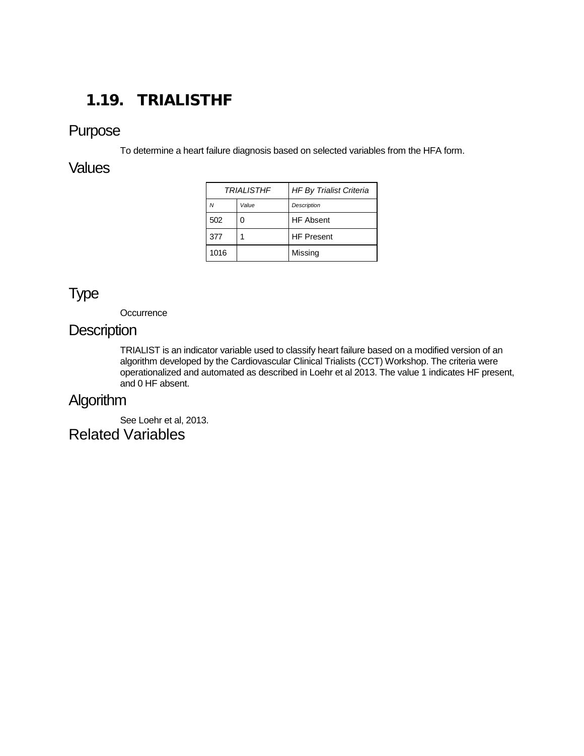# <span id="page-25-0"></span>1.19. TRIALISTHF

### Purpose

To determine a heart failure diagnosis based on selected variables from the HFA form.

### **Values**

| <b>TRIALISTHF</b> |       | <b>HF By Trialist Criteria</b> |
|-------------------|-------|--------------------------------|
| Ν                 | Value | Description                    |
| 502               |       | <b>HF</b> Absent               |
| 377               |       | <b>HF Present</b>              |
| 1016              |       | Missing                        |

## Type

**Occurrence** 

#### **Description**

TRIALIST is an indicator variable used to classify heart failure based on a modified version of an algorithm developed by the Cardiovascular Clinical Trialists (CCT) Workshop. The criteria were operationalized and automated as described in Loehr et al 2013. The value 1 indicates HF present, and 0 HF absent.

## Algorithm

See Loehr et al, 2013. Related Variables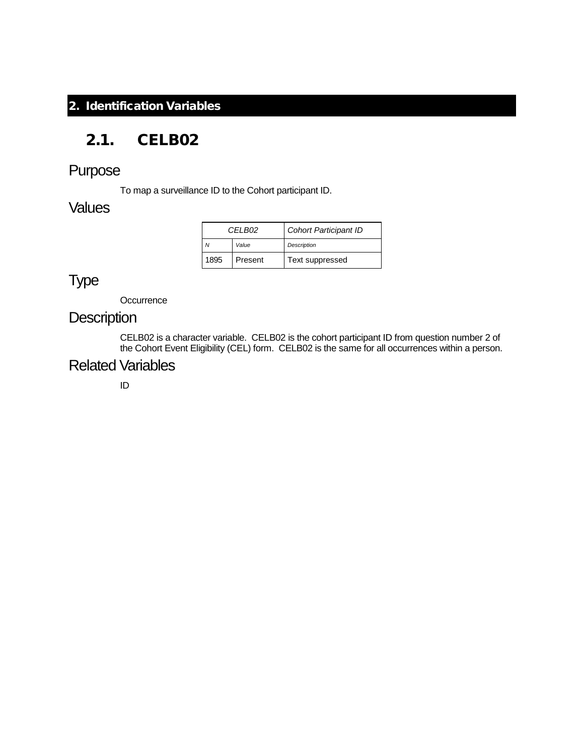### <span id="page-26-0"></span>2. Identification Variables

## <span id="page-26-1"></span>2.1. CELB02

## Purpose

To map a surveillance ID to the Cohort participant ID.

### **Values**

| CFI B02 |         | <b>Cohort Participant ID</b> |
|---------|---------|------------------------------|
|         | Value   | <b>Description</b>           |
| 1895    | Present | Text suppressed              |

# Type

**Occurrence** 

### **Description**

CELB02 is a character variable. CELB02 is the cohort participant ID from question number 2 of the Cohort Event Eligibility (CEL) form. CELB02 is the same for all occurrences within a person.

## Related Variables

ID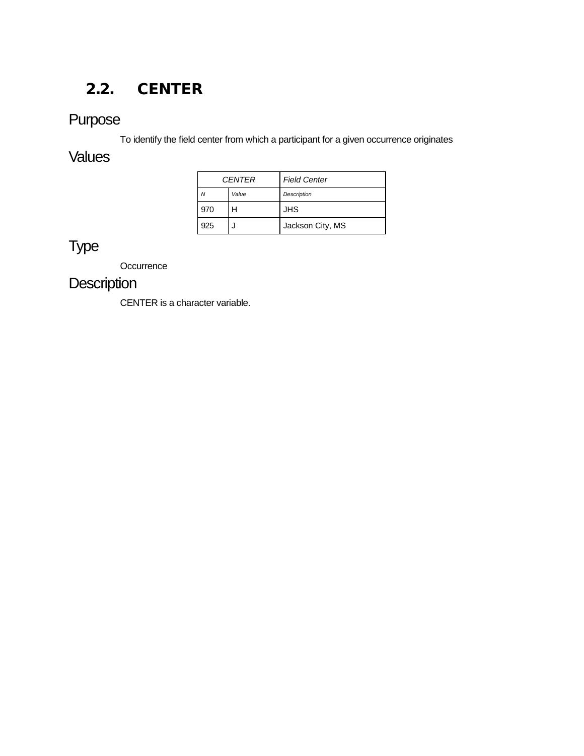# <span id="page-27-0"></span>2.2. CENTER

# Purpose

To identify the field center from which a participant for a given occurrence originates

### **Values**

|     | <b>CENTER</b> | <b>Field Center</b> |
|-----|---------------|---------------------|
|     | Value         | <b>Description</b>  |
| 970 | н             | <b>JHS</b>          |
| 925 |               | Jackson City, MS    |

# Type

**Occurrence** 

# **Description**

CENTER is a character variable.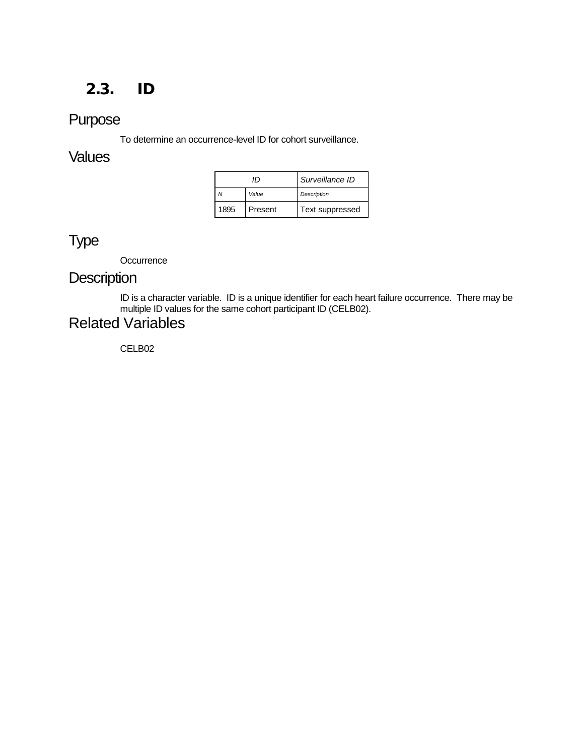## <span id="page-28-0"></span>2.3. ID

## Purpose

To determine an occurrence-level ID for cohort surveillance.

#### **Values**

| ΙD   |         | Surveillance ID    |
|------|---------|--------------------|
|      | Value   | <b>Description</b> |
| 1895 | Present | Text suppressed    |

# Type

**Occurrence** 

## **Description**

ID is a character variable. ID is a unique identifier for each heart failure occurrence. There may be multiple ID values for the same cohort participant ID (CELB02).

## Related Variables

CELB02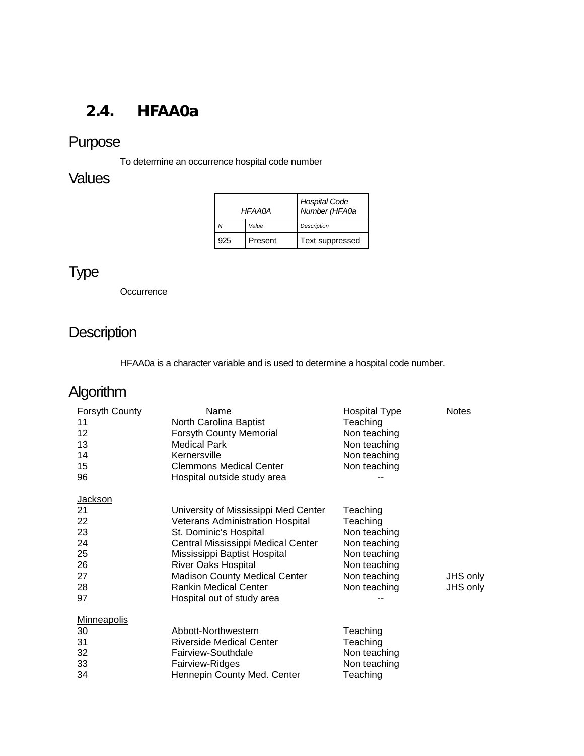# <span id="page-29-0"></span>2.4. HFAA0a

# Purpose

To determine an occurrence hospital code number

## Values

| <b>HFAA0A</b> |         | Hospital Code<br>Number (HFA0a |
|---------------|---------|--------------------------------|
| N             | Value   | <b>Description</b>             |
| 925           | Present | Text suppressed                |

# Type

**Occurrence** 

# **Description**

HFAA0a is a character variable and is used to determine a hospital code number.

# Algorithm

| Forsyth County     | Name                                    | <b>Hospital Type</b> | <b>Notes</b> |
|--------------------|-----------------------------------------|----------------------|--------------|
| 11                 | North Carolina Baptist                  | Teaching             |              |
| 12                 | <b>Forsyth County Memorial</b>          | Non teaching         |              |
| 13                 | <b>Medical Park</b>                     | Non teaching         |              |
| 14                 | Kernersville                            | Non teaching         |              |
| 15                 | <b>Clemmons Medical Center</b>          | Non teaching         |              |
| 96                 | Hospital outside study area             |                      |              |
| <b>Jackson</b>     |                                         |                      |              |
| 21                 | University of Mississippi Med Center    | Teaching             |              |
| 22                 | <b>Veterans Administration Hospital</b> | Teaching             |              |
| 23                 | St. Dominic's Hospital                  | Non teaching         |              |
| 24                 | Central Mississippi Medical Center      | Non teaching         |              |
| 25                 | Mississippi Baptist Hospital            | Non teaching         |              |
| 26                 | <b>River Oaks Hospital</b>              | Non teaching         |              |
| 27                 | <b>Madison County Medical Center</b>    | Non teaching         | JHS only     |
| 28                 | <b>Rankin Medical Center</b>            | Non teaching         | JHS only     |
| 97                 | Hospital out of study area              |                      |              |
| <b>Minneapolis</b> |                                         |                      |              |
| 30                 | Abbott-Northwestern                     | Teaching             |              |
| 31                 | <b>Riverside Medical Center</b>         | Teaching             |              |
| 32                 | Fairview-Southdale                      | Non teaching         |              |
| 33                 | Fairview-Ridges                         | Non teaching         |              |
| 34                 | Hennepin County Med. Center             | Teaching             |              |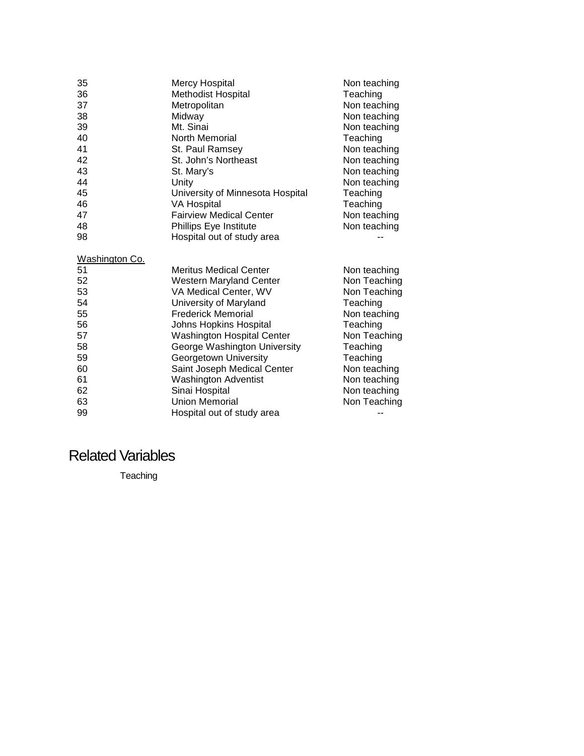| 35             | <b>Mercy Hospital</b>             | Non teaching |
|----------------|-----------------------------------|--------------|
| 36             | Methodist Hospital                | Teaching     |
| 37             | Metropolitan                      | Non teaching |
| 38             | Midway                            | Non teaching |
| 39             | Mt. Sinai                         | Non teaching |
| 40             | North Memorial                    | Teaching     |
| 41             | St. Paul Ramsey                   | Non teaching |
| 42             | St. John's Northeast              | Non teaching |
| 43             | St. Mary's                        | Non teaching |
| 44             | Unity                             | Non teaching |
| 45             | University of Minnesota Hospital  | Teaching     |
| 46             | <b>VA Hospital</b>                | Teaching     |
| 47             | <b>Fairview Medical Center</b>    | Non teaching |
| 48             | Phillips Eye Institute            | Non teaching |
| 98             | Hospital out of study area        |              |
| Washington Co. |                                   |              |
| 51             | <b>Meritus Medical Center</b>     | Non teaching |
| 52             | <b>Western Maryland Center</b>    | Non Teaching |
| 53             | VA Medical Center, WV             | Non Teaching |
| 54             | University of Maryland            | Teaching     |
| 55             | <b>Frederick Memorial</b>         | Non teaching |
| 56             | Johns Hopkins Hospital            | Teaching     |
| 57             | <b>Washington Hospital Center</b> | Non Teaching |
| 58             | George Washington University      | Teaching     |
| 59             | Georgetown University             | Teaching     |
| 60             | Saint Joseph Medical Center       | Non teaching |
| 61             | <b>Washington Adventist</b>       | Non teaching |
| 62             | Sinai Hospital                    | Non teaching |
| 63             | <b>Union Memorial</b>             | Non Teaching |
| 99             | Hospital out of study area        |              |

Hospital out of study area  $-$ --

Related Variables

Teaching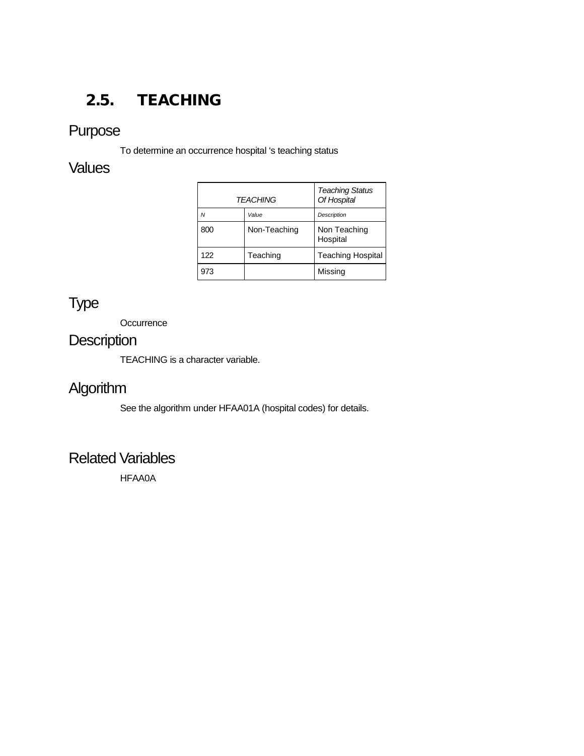# <span id="page-31-0"></span>2.5. TEACHING

# Purpose

To determine an occurrence hospital 's teaching status

## **Values**

| <b>TEACHING</b> |              | <b>Teaching Status</b><br>Of Hospital |
|-----------------|--------------|---------------------------------------|
| N               | Value        | Description                           |
| 800             | Non-Teaching | Non Teaching<br>Hospital              |
| 122             | Teaching     | <b>Teaching Hospital</b>              |
| 973             |              | Missing                               |

# Type

**Occurrence** 

# **Description**

TEACHING is a character variable.

# **Algorithm**

See the algorithm under HFAA01A (hospital codes) for details.

### Related Variables

HFAA0A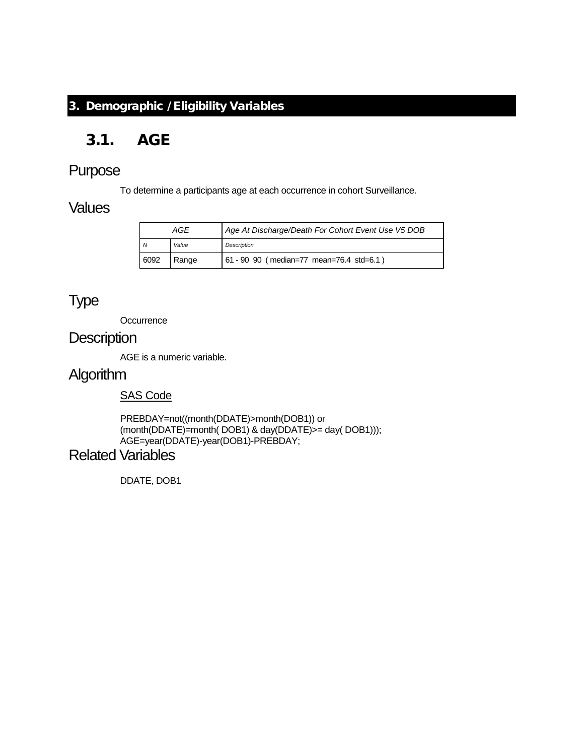#### <span id="page-32-0"></span>3. Demographic / Eligibility Variables

# <span id="page-32-1"></span>3.1. AGE

### Purpose

To determine a participants age at each occurrence in cohort Surveillance.

#### **Values**

| AGE  |       | Age At Discharge/Death For Cohort Event Use V5 DOB |
|------|-------|----------------------------------------------------|
| N    | Value | <b>Description</b>                                 |
| 6092 | Range | 61 - 90 90 (median=77 mean=76.4 std=6.1)           |

## Type

**Occurrence** 

### **Description**

AGE is a numeric variable.

# Algorithm

#### SAS Code

PREBDAY=not((month(DDATE)>month(DOB1)) or (month(DDATE)=month( DOB1) & day(DDATE)>= day( DOB1))); AGE=year(DDATE)-year(DOB1)-PREBDAY;

### Related Variables

DDATE, DOB1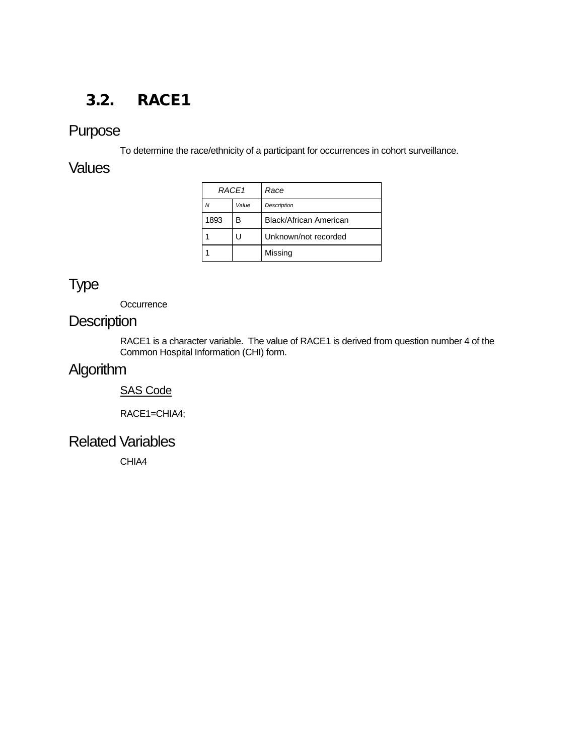## <span id="page-33-0"></span>3.2. RACE1

## Purpose

To determine the race/ethnicity of a participant for occurrences in cohort surveillance.

### **Values**

| RACE1 |       | Race                          |
|-------|-------|-------------------------------|
| Ν     | Value | <b>Description</b>            |
| 1893  | в     | <b>Black/African American</b> |
|       |       | Unknown/not recorded          |
|       |       | Missing                       |

## Type

**Occurrence** 

## **Description**

RACE1 is a character variable. The value of RACE1 is derived from question number 4 of the Common Hospital Information (CHI) form.

# **Algorithm**

#### SAS Code

RACE1=CHIA4;

### Related Variables

CHIA4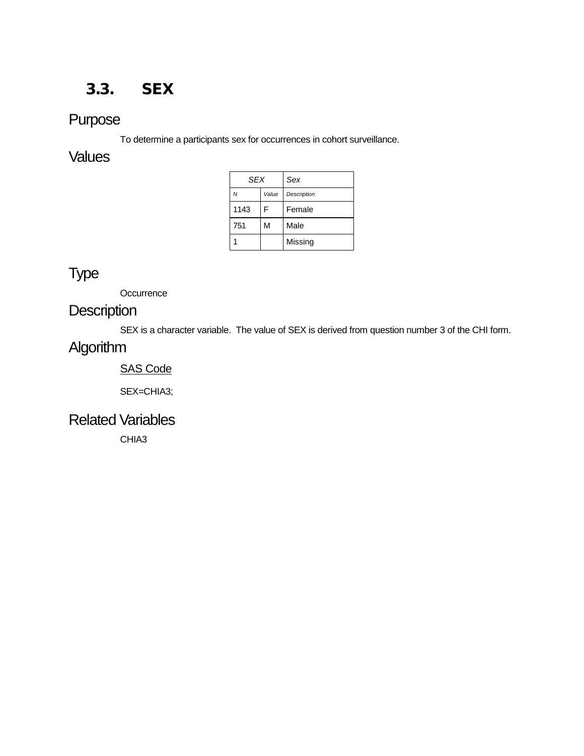## <span id="page-34-0"></span>3.3. SEX

## Purpose

To determine a participants sex for occurrences in cohort surveillance.

### **Values**

| <b>SEX</b> |       | Sex                |
|------------|-------|--------------------|
| N          | Value | <b>Description</b> |
| 1143       | F     | Female             |
| 751        | M     | Male               |
|            |       | Missing            |

# Type

**Occurrence** 

## **Description**

SEX is a character variable. The value of SEX is derived from question number 3 of the CHI form.

## Algorithm

#### SAS Code

SEX=CHIA3;

### Related Variables

CHIA3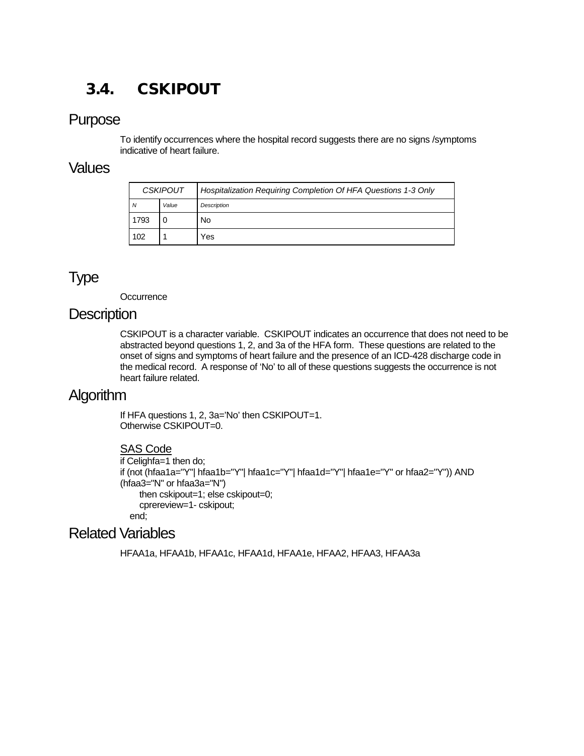# <span id="page-35-0"></span>3.4. CSKIPOUT

#### Purpose

To identify occurrences where the hospital record suggests there are no signs /symptoms indicative of heart failure.

#### Values

| <b>CSKIPOUT</b> |       | Hospitalization Requiring Completion Of HFA Questions 1-3 Only |
|-----------------|-------|----------------------------------------------------------------|
| N               | Value | <b>Description</b>                                             |
| 1793            |       | No                                                             |
| 102             |       | Yes                                                            |

## Type

**Occurrence** 

#### **Description**

CSKIPOUT is a character variable. CSKIPOUT indicates an occurrence that does not need to be abstracted beyond questions 1, 2, and 3a of the HFA form. These questions are related to the onset of signs and symptoms of heart failure and the presence of an ICD-428 discharge code in the medical record. A response of 'No' to all of these questions suggests the occurrence is not heart failure related.

## Algorithm

If HFA questions 1, 2, 3a='No' then CSKIPOUT=1. Otherwise CSKIPOUT=0.

#### SAS Code

```
if Celighfa=1 then do;
if (not (hfaa1a="Y"| hfaa1b="Y"| hfaa1c="Y"| hfaa1d="Y"| hfaa1e="Y" or hfaa2="Y")) AND 
(hfaa3="N" or hfaa3a="N")
     then cskipout=1; else cskipout=0;
     cprereview=1- cskipout;
   end;
```
### Related Variables

HFAA1a, HFAA1b, HFAA1c, HFAA1d, HFAA1e, HFAA2, HFAA3, HFAA3a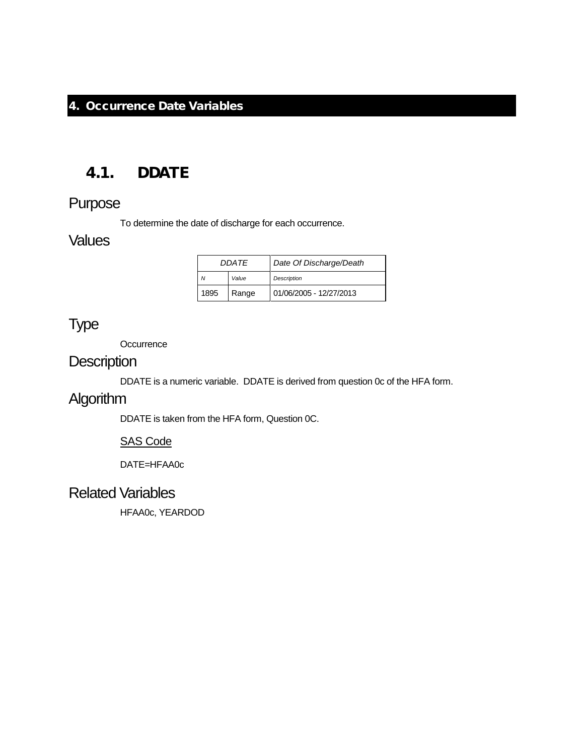#### <span id="page-36-0"></span>4. Occurrence Date Variables

### <span id="page-36-1"></span>4.1. DDATE

### Purpose

To determine the date of discharge for each occurrence.

### **Values**

| <b>DDATF</b> |       | Date Of Discharge/Death |
|--------------|-------|-------------------------|
| Value        |       | <b>Description</b>      |
| 1895         | Range | 01/06/2005 - 12/27/2013 |

### Type

**Occurrence** 

### **Description**

DDATE is a numeric variable. DDATE is derived from question 0c of the HFA form.

## Algorithm

DDATE is taken from the HFA form, Question 0C.

#### SAS Code

DATE=HFAA0c

### Related Variables

HFAA0c, YEARDOD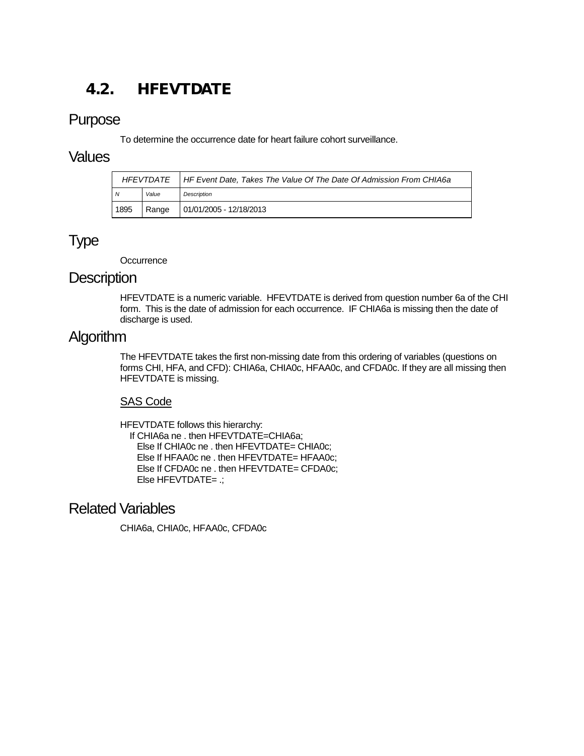# <span id="page-37-0"></span>4.2. HFEVTDATE

### Purpose

To determine the occurrence date for heart failure cohort surveillance.

#### Values

|      |       | HFEVTDATE   HF Event Date, Takes The Value Of The Date Of Admission From CHIA6a |
|------|-------|---------------------------------------------------------------------------------|
| N    | Value | Description                                                                     |
| 1895 | Range | 01/01/2005 - 12/18/2013                                                         |

## Type

**Occurrence** 

#### **Description**

HFEVTDATE is a numeric variable. HFEVTDATE is derived from question number 6a of the CHI form. This is the date of admission for each occurrence. IF CHIA6a is missing then the date of discharge is used.

## Algorithm

The HFEVTDATE takes the first non-missing date from this ordering of variables (questions on forms CHI, HFA, and CFD): CHIA6a, CHIA0c, HFAA0c, and CFDA0c. If they are all missing then HFEVTDATE is missing.

#### SAS Code

HFEVTDATE follows this hierarchy: If CHIA6a ne . then HFEVTDATE=CHIA6a; Else If CHIA0c ne . then HFEVTDATE= CHIA0c; Else If HFAA0c ne . then HFEVTDATE= HFAA0c; Else If CFDA0c ne . then HFEVTDATE= CFDA0c; Else HFEVTDATE= .;

### Related Variables

CHIA6a, CHIA0c, HFAA0c, CFDA0c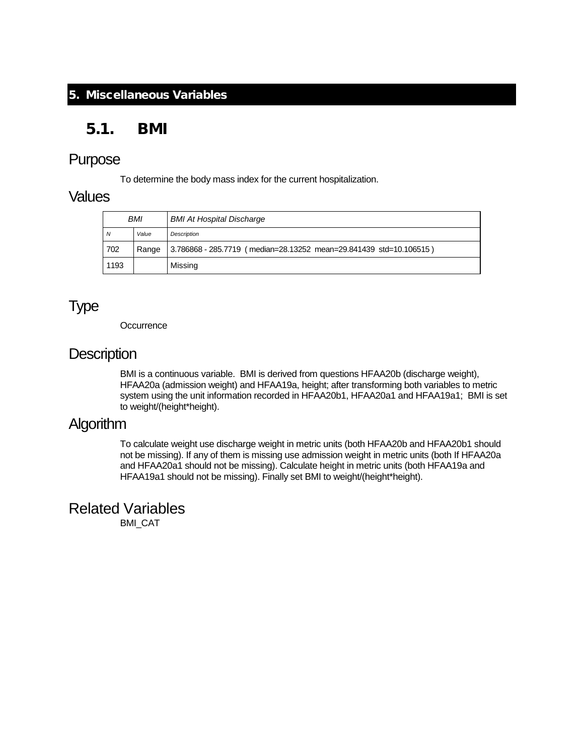#### <span id="page-38-0"></span>5. Miscellaneous Variables

### <span id="page-38-1"></span>5.1. BMI

#### Purpose

To determine the body mass index for the current hospitalization.

#### Values

| <b>BMI</b> |       | <b>BMI At Hospital Discharge</b>                                   |
|------------|-------|--------------------------------------------------------------------|
| N          | Value | <b>Description</b>                                                 |
| 702        | Range | 3.786868 - 285.7719 (median=28.13252 mean=29.841439 std=10.106515) |
| 1193       |       | Missing                                                            |

# Type

**Occurrence** 

### **Description**

BMI is a continuous variable. BMI is derived from questions HFAA20b (discharge weight), HFAA20a (admission weight) and HFAA19a, height; after transforming both variables to metric system using the unit information recorded in HFAA20b1, HFAA20a1 and HFAA19a1; BMI is set to weight/(height\*height).

### Algorithm

To calculate weight use discharge weight in metric units (both HFAA20b and HFAA20b1 should not be missing). If any of them is missing use admission weight in metric units (both If HFAA20a and HFAA20a1 should not be missing). Calculate height in metric units (both HFAA19a and HFAA19a1 should not be missing). Finally set BMI to weight/(height\*height).

Related Variables BMI\_CAT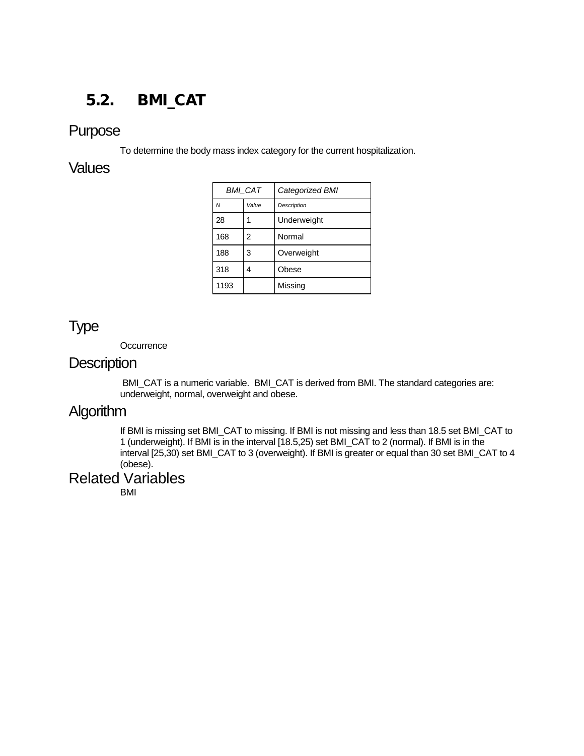# <span id="page-39-0"></span>5.2. BMI\_CAT

### Purpose

To determine the body mass index category for the current hospitalization.

### **Values**

| <b>BMI CAT</b> |       | Categorized BMI |
|----------------|-------|-----------------|
| $\overline{M}$ | Value | Description     |
| 28             | 1     | Underweight     |
| 168            | 2     | Normal          |
| 188            | 3     | Overweight      |
| 318            | 4     | Obese           |
| 1193           |       | Missing         |
|                |       |                 |

## Type

**Occurrence** 

#### **Description**

BMI\_CAT is a numeric variable. BMI\_CAT is derived from BMI. The standard categories are: underweight, normal, overweight and obese.

# **Algorithm**

If BMI is missing set BMI\_CAT to missing. If BMI is not missing and less than 18.5 set BMI\_CAT to 1 (underweight). If BMI is in the interval [18.5,25) set BMI\_CAT to 2 (normal). If BMI is in the interval [25,30) set BMI\_CAT to 3 (overweight). If BMI is greater or equal than 30 set BMI\_CAT to 4 (obese).

### Related Variables

BMI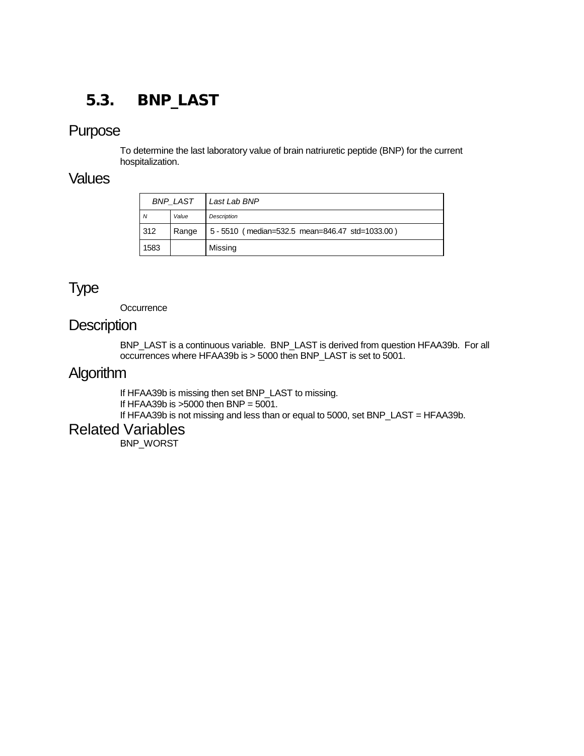# <span id="page-40-0"></span>5.3. BNP\_LAST

#### Purpose

To determine the last laboratory value of brain natriuretic peptide (BNP) for the current hospitalization.

#### **Values**

| <b>BNP LAST</b> |       | Last Lab BNP                                    |
|-----------------|-------|-------------------------------------------------|
| N               | Value | <b>Description</b>                              |
| 312             | Range | 5 - 5510 (median=532.5 mean=846.47 std=1033.00) |
| 1583            |       | Missing                                         |

## Type

**Occurrence** 

#### **Description**

BNP\_LAST is a continuous variable. BNP\_LAST is derived from question HFAA39b. For all occurrences where HFAA39b is > 5000 then BNP\_LAST is set to 5001.

### **Algorithm**

If HFAA39b is missing then set BNP\_LAST to missing. If HFAA39b is  $>5000$  then BNP =  $5001$ . If HFAA39b is not missing and less than or equal to 5000, set BNP\_LAST = HFAA39b.

#### Related Variables

BNP\_WORST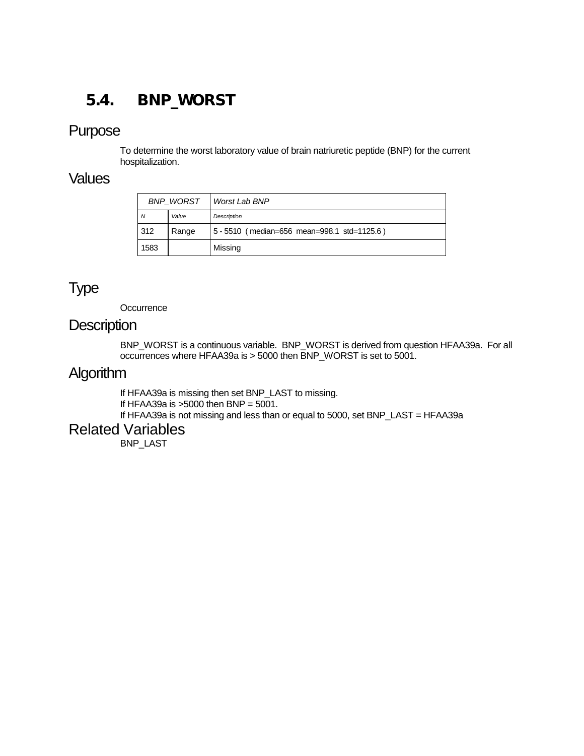# <span id="page-41-0"></span>5.4. BNP\_WORST

#### Purpose

To determine the worst laboratory value of brain natriuretic peptide (BNP) for the current hospitalization.

#### Values

| <b>BNP WORST</b> |       | Worst Lab BNP                               |
|------------------|-------|---------------------------------------------|
| N                | Value | Description                                 |
| 312              | Range | 5 - 5510 (median=656 mean=998.1 std=1125.6) |
| 1583             |       | Missing                                     |

## Type

**Occurrence** 

#### **Description**

BNP\_WORST is a continuous variable. BNP\_WORST is derived from question HFAA39a. For all occurrences where HFAA39a is > 5000 then BNP\_WORST is set to 5001.

### Algorithm

If HFAA39a is missing then set BNP\_LAST to missing. If HFAA39a is  $>5000$  then BNP =  $5001$ . If HFAA39a is not missing and less than or equal to 5000, set BNP\_LAST = HFAA39a

### Related Variables

BNP\_LAST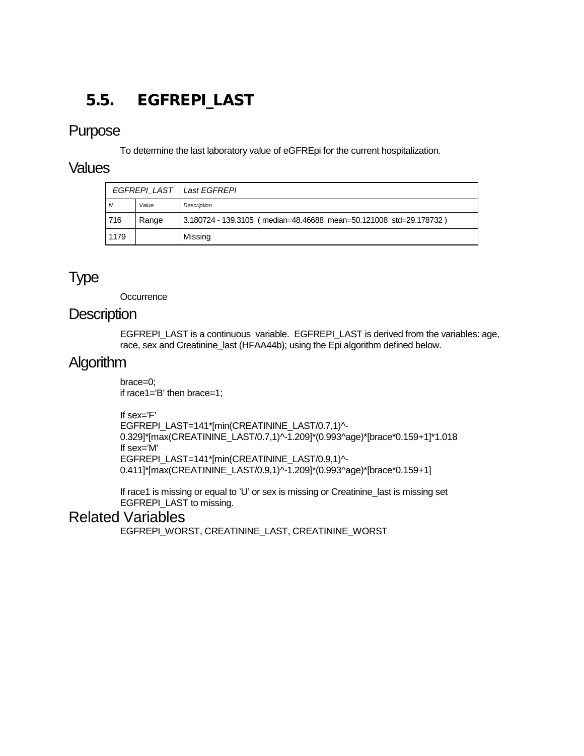# <span id="page-42-0"></span>5.5. EGFREPI\_LAST

### Purpose

To determine the last laboratory value of eGFREpi for the current hospitalization.

#### Values

| EGFREPI LAST   Last EGFREPI |       |                                                                    |
|-----------------------------|-------|--------------------------------------------------------------------|
| N                           | Value | <b>Description</b>                                                 |
| 716                         | Range | 3.180724 - 139.3105 (median=48.46688 mean=50.121008 std=29.178732) |
| 1179                        |       | Missing                                                            |

# Type

**Occurrence** 

### **Description**

EGFREPI\_LAST is a continuous variable. EGFREPI\_LAST is derived from the variables: age, race, sex and Creatinine\_last (HFAA44b); using the Epi algorithm defined below.

### **Algorithm**

brace=0; if race1='B' then brace=1;

If sex='F'

EGFREPI\_LAST=141\*[min(CREATININE\_LAST/0.7,1)^- 0.329]\*[max(CREATININE\_LAST/0.7,1)^-1.209]\*(0.993^age)\*[brace\*0.159+1]\*1.018 If sex='M' EGFREPI\_LAST=141\*[min(CREATININE\_LAST/0.9,1)^- 0.411]\*[max(CREATININE\_LAST/0.9,1)^-1.209]\*(0.993^age)\*[brace\*0.159+1]

If race1 is missing or equal to 'U' or sex is missing or Creatinine\_last is missing set EGFREPI\_LAST to missing.

### Related Variables

EGFREPI\_WORST, CREATININE\_LAST, CREATININE\_WORST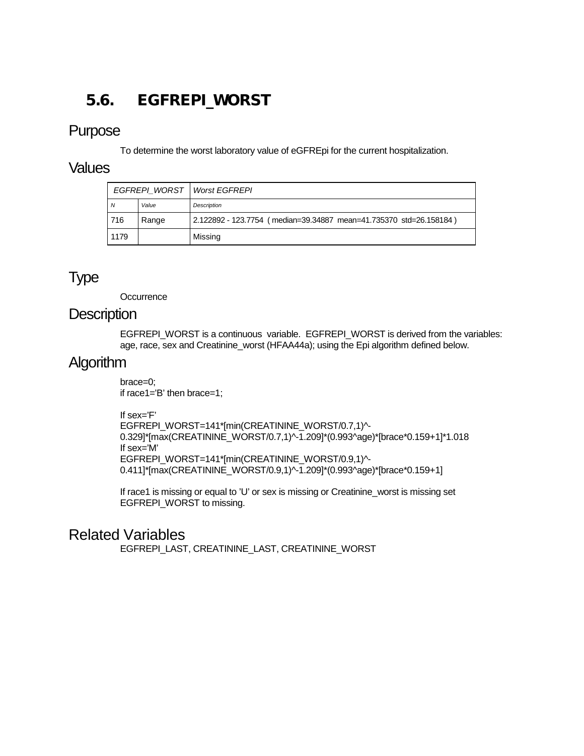# <span id="page-43-0"></span>5.6. EGFREPI\_WORST

#### Purpose

To determine the worst laboratory value of eGFREpi for the current hospitalization.

#### Values

| EGFREPI WORST   Worst EGFREPI |       |                                                                    |
|-------------------------------|-------|--------------------------------------------------------------------|
| N                             | Value | <b>Description</b>                                                 |
| 716                           | Range | 2.122892 - 123.7754 (median=39.34887 mean=41.735370 std=26.158184) |
| 1179                          |       | Missing                                                            |

## Type

**Occurrence** 

#### **Description**

EGFREPI\_WORST is a continuous variable. EGFREPI\_WORST is derived from the variables: age, race, sex and Creatinine\_worst (HFAA44a); using the Epi algorithm defined below.

### **Algorithm**

brace=0; if race1='B' then brace=1;

If sex='F'

EGFREPI\_WORST=141\*[min(CREATININE\_WORST/0.7,1)^- 0.329]\*[max(CREATININE\_WORST/0.7,1)^-1.209]\*(0.993^age)\*[brace\*0.159+1]\*1.018 If sex='M' EGFREPI\_WORST=141\*[min(CREATININE\_WORST/0.9,1)^- 0.411]\*[max(CREATININE\_WORST/0.9,1)^-1.209]\*(0.993^age)\*[brace\*0.159+1]

If race1 is missing or equal to 'U' or sex is missing or Creatinine\_worst is missing set EGFREPI\_WORST to missing.

### Related Variables

EGFREPI\_LAST, CREATININE\_LAST, CREATININE\_WORST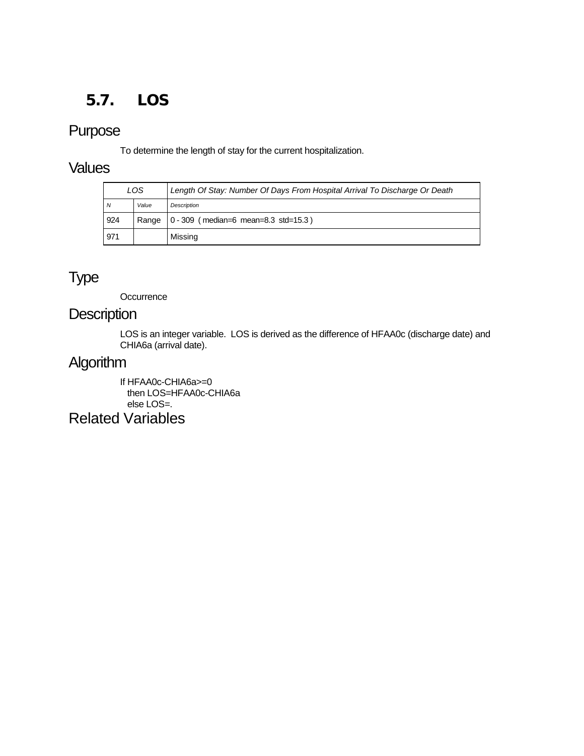# <span id="page-44-0"></span>5.7. LOS

## Purpose

To determine the length of stay for the current hospitalization.

### **Values**

| LOS |       | Length Of Stay: Number Of Days From Hospital Arrival To Discharge Or Death |  |
|-----|-------|----------------------------------------------------------------------------|--|
| N   | Value | <b>Description</b>                                                         |  |
| 924 |       | Range   0 - 309 (median=6 mean=8.3 std=15.3)                               |  |
| 971 |       | Missing                                                                    |  |

# Type

**Occurrence** 

### **Description**

LOS is an integer variable. LOS is derived as the difference of HFAA0c (discharge date) and CHIA6a (arrival date).

# Algorithm

If HFAA0c-CHIA6a>=0 then LOS=HFAA0c-CHIA6a else LOS=. Related Variables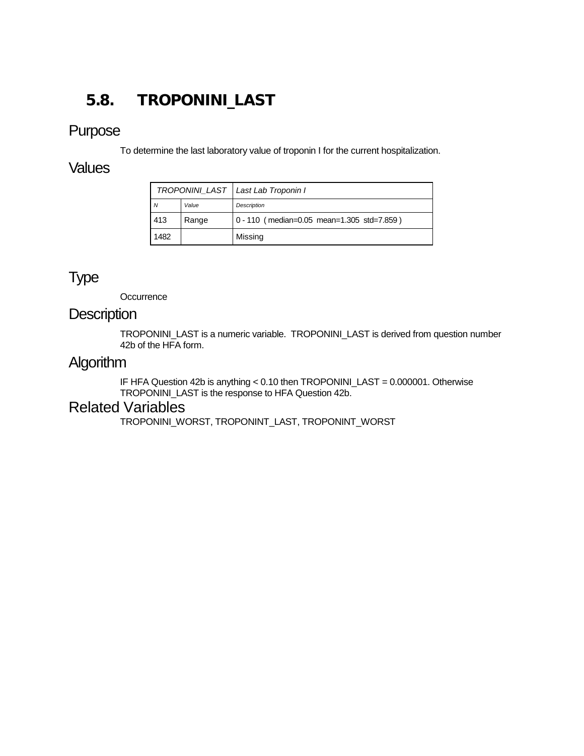# <span id="page-45-0"></span>5.8. TROPONINI\_LAST

### Purpose

To determine the last laboratory value of troponin I for the current hospitalization.

### **Values**

| TROPONINI_LAST   Last Lab Troponin I |       |                                            |
|--------------------------------------|-------|--------------------------------------------|
| N                                    | Value | Description                                |
| 413                                  | Range | 0 - 110 (median=0.05 mean=1.305 std=7.859) |
| 1482                                 |       | Missing                                    |

# Type

**Occurrence** 

### **Description**

TROPONINI\_LAST is a numeric variable. TROPONINI\_LAST is derived from question number 42b of the HFA form.

### Algorithm

IF HFA Question 42b is anything < 0.10 then TROPONINI\_LAST = 0.000001. Otherwise TROPONINI\_LAST is the response to HFA Question 42b.

### Related Variables

TROPONINI\_WORST, TROPONINT\_LAST, TROPONINT\_WORST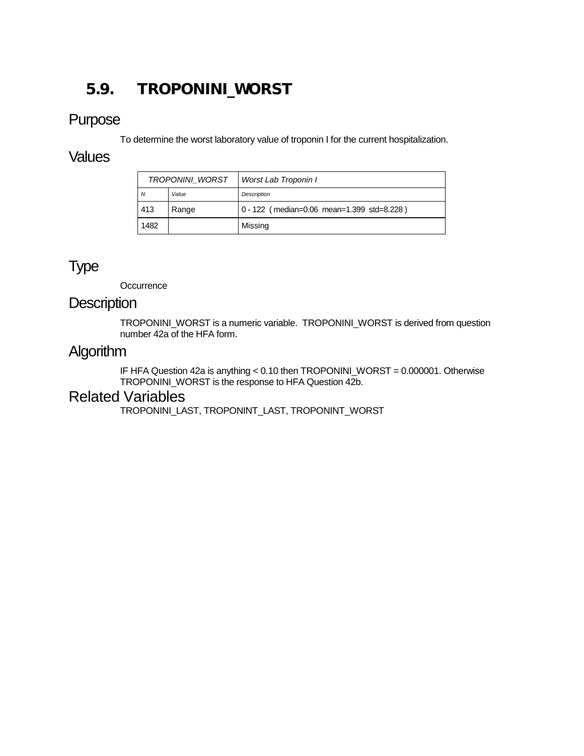# <span id="page-46-0"></span>5.9. TROPONINI\_WORST

### Purpose

To determine the worst laboratory value of troponin I for the current hospitalization.

#### **Values**

| <b>TROPONINI WORST</b> |       | Worst Lab Troponin I                       |
|------------------------|-------|--------------------------------------------|
| N                      | Value | Description                                |
| 413                    | Range | 0 - 122 (median=0.06 mean=1.399 std=8.228) |
| 1482                   |       | Missing                                    |

# Type

**Occurrence** 

#### **Description**

TROPONINI\_WORST is a numeric variable. TROPONINI\_WORST is derived from question number 42a of the HFA form.

### Algorithm

IF HFA Question 42a is anything < 0.10 then TROPONINI\_WORST = 0.000001. Otherwise TROPONINI\_WORST is the response to HFA Question 42b.

### Related Variables

TROPONINI\_LAST, TROPONINT\_LAST, TROPONINT\_WORST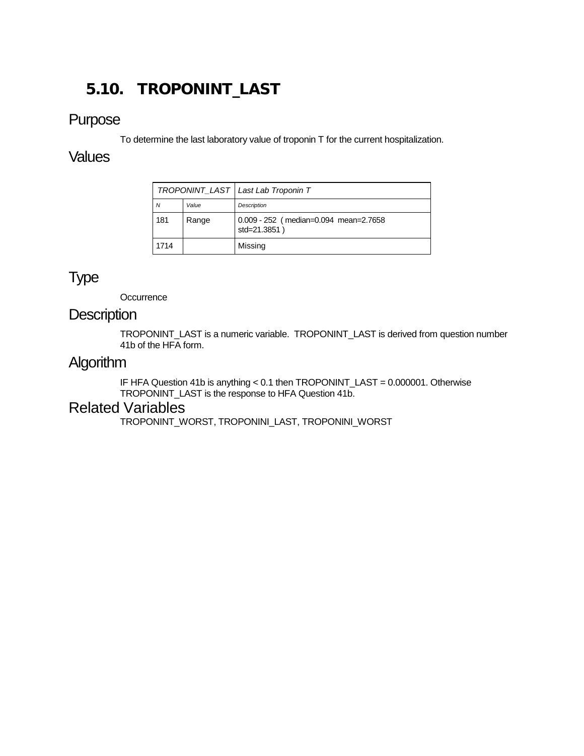# <span id="page-47-0"></span>5.10. TROPONINT\_LAST

### Purpose

To determine the last laboratory value of troponin T for the current hospitalization.

### **Values**

|      |       | TROPONINT LAST   Last Lab Troponin T                  |
|------|-------|-------------------------------------------------------|
| N    | Value | Description                                           |
| 181  | Range | 0.009 - 252 (median=0.094 mean=2.7658<br>std=21.3851) |
| 1714 |       | Missing                                               |

## Type

**Occurrence** 

### **Description**

TROPONINT\_LAST is a numeric variable. TROPONINT\_LAST is derived from question number 41b of the HFA form.

## Algorithm

IF HFA Question 41b is anything < 0.1 then TROPONINT\_LAST = 0.000001. Otherwise TROPONINT\_LAST is the response to HFA Question 41b.

### Related Variables

TROPONINT\_WORST, TROPONINI\_LAST, TROPONINI\_WORST